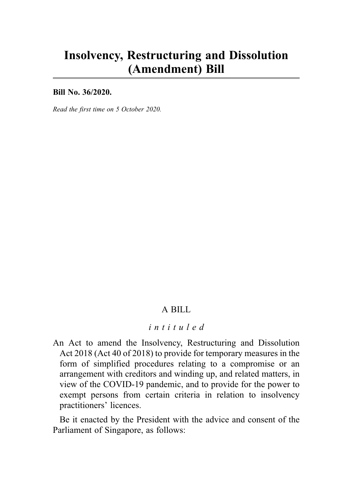# Insolvency, Restructuring and Dissolution (Amendment) Bill

Bill No. 36/2020.

Read the first time on 5 October 2020.

## A BILL

#### intituled

An Act to amend the Insolvency, Restructuring and Dissolution Act 2018 (Act 40 of 2018) to provide for temporary measures in the form of simplified procedures relating to a compromise or an arrangement with creditors and winding up, and related matters, in view of the COVID-19 pandemic, and to provide for the power to exempt persons from certain criteria in relation to insolvency practitioners' licences.

Be it enacted by the President with the advice and consent of the Parliament of Singapore, as follows: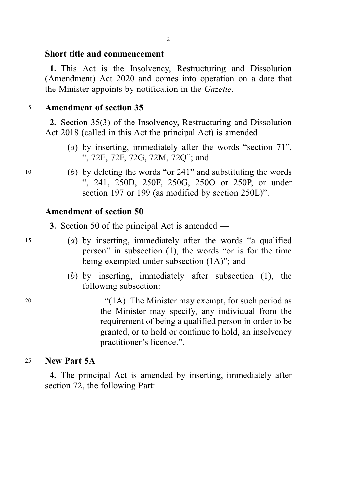#### Short title and commencement

1. This Act is the Insolvency, Restructuring and Dissolution (Amendment) Act 2020 and comes into operation on a date that the Minister appoints by notification in the Gazette.

#### <sup>5</sup> Amendment of section 35

2. Section 35(3) of the Insolvency, Restructuring and Dissolution Act 2018 (called in this Act the principal Act) is amended —

- (a) by inserting, immediately after the words "section 71", ", 72E, 72F, 72G, 72M, 72Q"; and
- <sup>10</sup> (b) by deleting the words "or 241" and substituting the words ", 241, 250D, 250F, 250G, 250O or 250P, or under section 197 or 199 (as modified by section 250L)".

#### Amendment of section 50

3. Section 50 of the principal Act is amended —

- <sup>15</sup> (a) by inserting, immediately after the words "a qualified person" in subsection (1), the words "or is for the time being exempted under subsection (1A)"; and
	- (b) by inserting, immediately after subsection (1), the following subsection:

<sup>20</sup> "(1A) The Minister may exempt, for such period as the Minister may specify, any individual from the requirement of being a qualified person in order to be granted, or to hold or continue to hold, an insolvency practitioner's licence.".

#### <sup>25</sup> New Part 5A

4. The principal Act is amended by inserting, immediately after section 72, the following Part: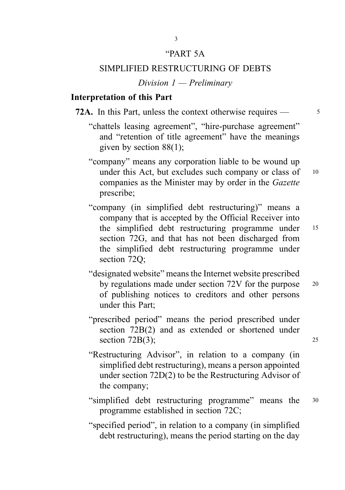#### "PART 5A

3

#### SIMPLIFIED RESTRUCTURING OF DEBTS

Division  $1$  — Preliminary

#### Interpretation of this Part

**72A.** In this Part, unless the context otherwise requires  $\frac{3}{5}$ 

- "chattels leasing agreement", "hire-purchase agreement" and "retention of title agreement" have the meanings given by section 88(1);
- "company" means any corporation liable to be wound up under this Act, but excludes such company or class of 10 companies as the Minister may by order in the Gazette prescribe;
- "company (in simplified debt restructuring)" means a company that is accepted by the Official Receiver into the simplified debt restructuring programme under <sup>15</sup> section 72G, and that has not been discharged from the simplified debt restructuring programme under section 72O;
- "designated website" means the Internet website prescribed by regulations made under section 72V for the purpose 20 of publishing notices to creditors and other persons under this Part;
- "prescribed period" means the period prescribed under section 72B(2) and as extended or shortened under section  $72B(3)$ ; 25
- "Restructuring Advisor", in relation to a company (in simplified debt restructuring), means a person appointed under section 72D(2) to be the Restructuring Advisor of the company;
- "simplified debt restructuring programme" means the <sup>30</sup> programme established in section 72C;
- "specified period", in relation to a company (in simplified debt restructuring), means the period starting on the day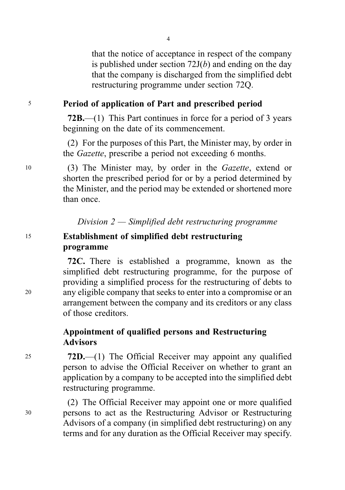that the notice of acceptance in respect of the company is published under section  $72J(b)$  and ending on the day that the company is discharged from the simplified debt restructuring programme under section 72Q.

#### <sup>5</sup> Period of application of Part and prescribed period

72B.—(1) This Part continues in force for a period of 3 years beginning on the date of its commencement.

(2) For the purposes of this Part, the Minister may, by order in the Gazette, prescribe a period not exceeding 6 months.

<sup>10</sup> (3) The Minister may, by order in the Gazette, extend or shorten the prescribed period for or by a period determined by the Minister, and the period may be extended or shortened more than once.

Division  $2$  — Simplified debt restructuring programme

## <sup>15</sup> Establishment of simplified debt restructuring programme

72C. There is established a programme, known as the simplified debt restructuring programme, for the purpose of providing a simplified process for the restructuring of debts to <sup>20</sup> any eligible company that seeks to enter into a compromise or an arrangement between the company and its creditors or any class of those creditors.

## Appointment of qualified persons and Restructuring Advisors

<sup>25</sup> 72D.—(1) The Official Receiver may appoint any qualified person to advise the Official Receiver on whether to grant an application by a company to be accepted into the simplified debt restructuring programme.

(2) The Official Receiver may appoint one or more qualified <sup>30</sup> persons to act as the Restructuring Advisor or Restructuring Advisors of a company (in simplified debt restructuring) on any terms and for any duration as the Official Receiver may specify.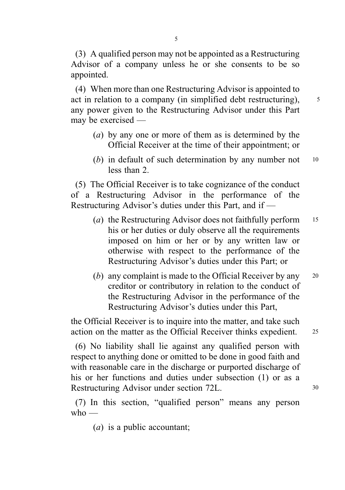(3) A qualified person may not be appointed as a Restructuring Advisor of a company unless he or she consents to be so appointed.

(4) When more than one Restructuring Advisor is appointed to act in relation to a company (in simplified debt restructuring),  $\frac{5}{3}$ any power given to the Restructuring Advisor under this Part may be exercised —

- (a) by any one or more of them as is determined by the Official Receiver at the time of their appointment; or
- (b) in default of such determination by any number not <sup>10</sup> less than 2.

(5) The Official Receiver is to take cognizance of the conduct of a Restructuring Advisor in the performance of the Restructuring Advisor's duties under this Part, and if —

- (a) the Restructuring Advisor does not faithfully perform  $15$ his or her duties or duly observe all the requirements imposed on him or her or by any written law or otherwise with respect to the performance of the Restructuring Advisor's duties under this Part; or
- (b) any complaint is made to the Official Receiver by any 20 creditor or contributory in relation to the conduct of the Restructuring Advisor in the performance of the Restructuring Advisor's duties under this Part,

the Official Receiver is to inquire into the matter, and take such action on the matter as the Official Receiver thinks expedient. <sup>25</sup>

(6) No liability shall lie against any qualified person with respect to anything done or omitted to be done in good faith and with reasonable care in the discharge or purported discharge of his or her functions and duties under subsection (1) or as a Restructuring Advisor under section 72L. 30

(7) In this section, "qualified person" means any person who  $-$ 

(*a*) is a public accountant: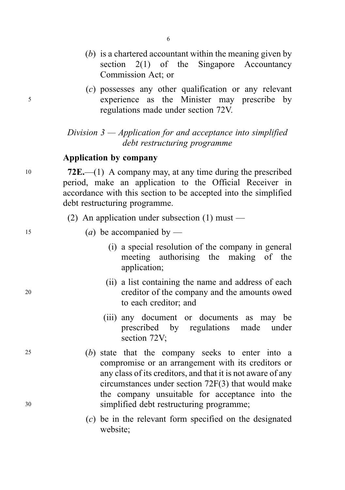- (b) is a chartered accountant within the meaning given by section 2(1) of the Singapore Accountancy Commission Act; or
- (c) possesses any other qualification or any relevant <sup>5</sup> experience as the Minister may prescribe by regulations made under section 72V.

## Division  $3$  — Application for and acceptance into simplified debt restructuring programme

#### Application by company

10 72E.—(1) A company may, at any time during the prescribed period, make an application to the Official Receiver in accordance with this section to be accepted into the simplified debt restructuring programme.

- (2) An application under subsection (1) must —
- 15 (a) be accompanied by  $\overline{\phantom{a}}$ 
	- (i) a special resolution of the company in general meeting authorising the making of the application;
- (ii) a list containing the name and address of each <sup>20</sup> creditor of the company and the amounts owed to each creditor; and
	- (iii) any document or documents as may be prescribed by regulations made under section 72V;
- <sup>25</sup> (b) state that the company seeks to enter into a compromise or an arrangement with its creditors or any class of its creditors, and that it is not aware of any circumstances under section 72F(3) that would make the company unsuitable for acceptance into the <sup>30</sup> simplified debt restructuring programme;
	- (c) be in the relevant form specified on the designated website;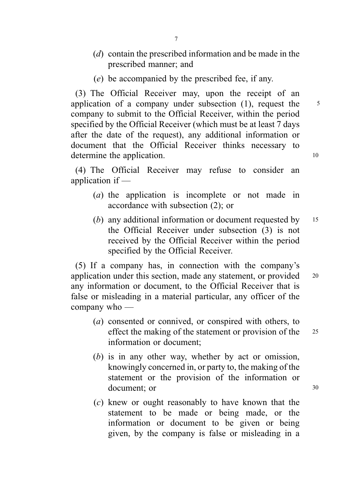- (d) contain the prescribed information and be made in the prescribed manner; and
- (e) be accompanied by the prescribed fee, if any.

(3) The Official Receiver may, upon the receipt of an application of a company under subsection  $(1)$ , request the  $5$ company to submit to the Official Receiver, within the period specified by the Official Receiver (which must be at least 7 days after the date of the request), any additional information or document that the Official Receiver thinks necessary to determine the application. 10

(4) The Official Receiver may refuse to consider an application if —

- (a) the application is incomplete or not made in accordance with subsection (2); or
- (b) any additional information or document requested by  $15$ the Official Receiver under subsection (3) is not received by the Official Receiver within the period specified by the Official Receiver.

(5) If a company has, in connection with the company's application under this section, made any statement, or provided 20 any information or document, to the Official Receiver that is false or misleading in a material particular, any officer of the company who —

- (a) consented or connived, or conspired with others, to effect the making of the statement or provision of the 25 information or document;
- (b) is in any other way, whether by act or omission, knowingly concerned in, or party to, the making of the statement or the provision of the information or document; or 30
- (c) knew or ought reasonably to have known that the statement to be made or being made, or the information or document to be given or being given, by the company is false or misleading in a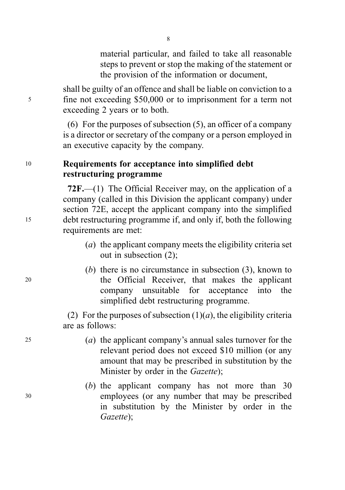material particular, and failed to take all reasonable steps to prevent or stop the making of the statement or the provision of the information or document,

shall be guilty of an offence and shall be liable on conviction to a <sup>5</sup> fine not exceeding \$50,000 or to imprisonment for a term not exceeding 2 years or to both.

> (6) For the purposes of subsection (5), an officer of a company is a director or secretary of the company or a person employed in an executive capacity by the company.

## <sup>10</sup> Requirements for acceptance into simplified debt restructuring programme

72F.—(1) The Official Receiver may, on the application of a company (called in this Division the applicant company) under section 72E, accept the applicant company into the simplified <sup>15</sup> debt restructuring programme if, and only if, both the following requirements are met:

- (a) the applicant company meets the eligibility criteria set out in subsection (2);
- (b) there is no circumstance in subsection (3), known to <sup>20</sup> the Official Receiver, that makes the applicant company unsuitable for acceptance into the simplified debt restructuring programme.

(2) For the purposes of subsection  $(1)(a)$ , the eligibility criteria are as follows:

- <sup>25</sup> (a) the applicant company's annual sales turnover for the relevant period does not exceed \$10 million (or any amount that may be prescribed in substitution by the Minister by order in the *Gazette*);
- (b) the applicant company has not more than 30 <sup>30</sup> employees (or any number that may be prescribed in substitution by the Minister by order in the Gazette);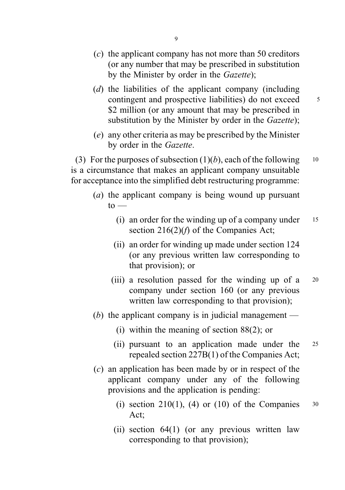- (d) the liabilities of the applicant company (including contingent and prospective liabilities) do not exceed  $\frac{5}{10}$ \$2 million (or any amount that may be prescribed in substitution by the Minister by order in the *Gazette*);
- (e) any other criteria as may be prescribed by the Minister by order in the Gazette.

(3) For the purposes of subsection  $(1)(b)$ , each of the following 10 is a circumstance that makes an applicant company unsuitable for acceptance into the simplified debt restructuring programme:

- (a) the applicant company is being wound up pursuant  $to -$ 
	- (i) an order for the winding up of a company under  $15$ section  $216(2)(f)$  of the Companies Act;
	- (ii) an order for winding up made under section 124 (or any previous written law corresponding to that provision); or
	- (iii) a resolution passed for the winding up of a <sup>20</sup> company under section 160 (or any previous written law corresponding to that provision);
- (b) the applicant company is in judicial management
	- (i) within the meaning of section 88(2); or
	- (ii) pursuant to an application made under the <sup>25</sup> repealed section 227B(1) of the Companies Act;
- (c) an application has been made by or in respect of the applicant company under any of the following provisions and the application is pending:
	- (i) section 210(1), (4) or (10) of the Companies  $30$ Act;
	- (ii) section 64(1) (or any previous written law corresponding to that provision);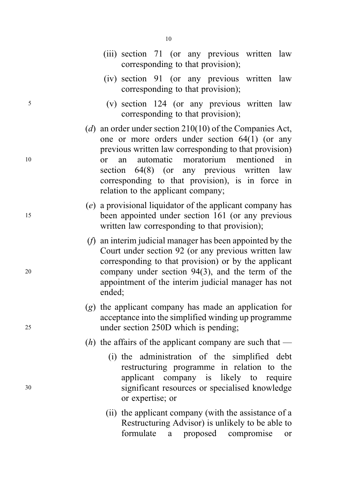|    | corresponding to that provision);                                                                                                                                                                                                                                                                  |
|----|----------------------------------------------------------------------------------------------------------------------------------------------------------------------------------------------------------------------------------------------------------------------------------------------------|
|    | (iv) section 91 (or any previous written law<br>corresponding to that provision);                                                                                                                                                                                                                  |
| 5  | (v) section 124 (or any previous written law<br>corresponding to that provision);                                                                                                                                                                                                                  |
|    | (d) an order under section $210(10)$ of the Companies Act,<br>one or more orders under section $64(1)$ (or any<br>previous written law corresponding to that provision)                                                                                                                            |
| 10 | moratorium mentioned<br>in<br>automatic<br>an<br><sub>or</sub><br>section 64(8) (or any previous written law<br>corresponding to that provision), is in force in<br>relation to the applicant company;                                                                                             |
| 15 | (e) a provisional liquidator of the applicant company has<br>been appointed under section 161 (or any previous<br>written law corresponding to that provision);                                                                                                                                    |
| 20 | $(f)$ an interim judicial manager has been appointed by the<br>Court under section 92 (or any previous written law<br>corresponding to that provision) or by the applicant<br>company under section $94(3)$ , and the term of the<br>appointment of the interim judicial manager has not<br>ended; |
| 25 | $(g)$ the applicant company has made an application for<br>acceptance into the simplified winding up programme<br>under section 250D which is pending;                                                                                                                                             |
|    | ( <i>h</i> ) the affairs of the applicant company are such that —                                                                                                                                                                                                                                  |
|    | (i) the administration of the simplified debt                                                                                                                                                                                                                                                      |

- restructuring programme in relation to the applicant company is likely to require <sup>30</sup> significant resources or specialised knowledge or expertise; or
	- (ii) the applicant company (with the assistance of a Restructuring Advisor) is unlikely to be able to formulate a proposed compromise or

10

(iii) section 71 (or any previous written law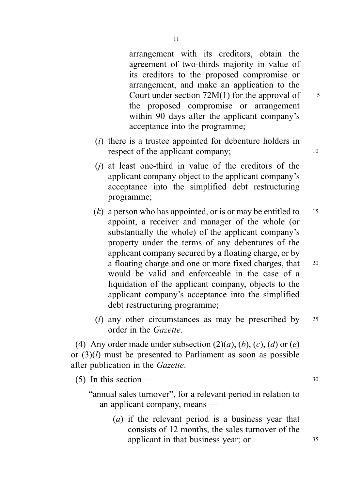arrangement with its creditors, obtain the agreement of two-thirds majority in value of its creditors to the proposed compromise or arrangement, and make an application to the Court under section  $72M(1)$  for the approval of  $5$ the proposed compromise or arrangement within 90 days after the applicant company's acceptance into the programme;

- (i) there is a trustee appointed for debenture holders in respect of the applicant company; 10
- $(i)$  at least one-third in value of the creditors of the applicant company object to the applicant company's acceptance into the simplified debt restructuring programme;
- (k) a person who has appointed, or is or may be entitled to  $15$ appoint, a receiver and manager of the whole (or substantially the whole) of the applicant company's property under the terms of any debentures of the applicant company secured by a floating charge, or by a floating charge and one or more fixed charges, that <sup>20</sup> would be valid and enforceable in the case of a liquidation of the applicant company, objects to the applicant company's acceptance into the simplified debt restructuring programme;
- (*l*) any other circumstances as may be prescribed by  $25$ order in the Gazette.

(4) Any order made under subsection  $(2)(a)$ ,  $(b)$ ,  $(c)$ ,  $(d)$  or  $(e)$ or  $(3)(l)$  must be presented to Parliament as soon as possible after publication in the Gazette.

(5) In this section —  $30$ 

"annual sales turnover", for a relevant period in relation to an applicant company, means —

> (a) if the relevant period is a business year that consists of 12 months, the sales turnover of the applicant in that business year; or  $35$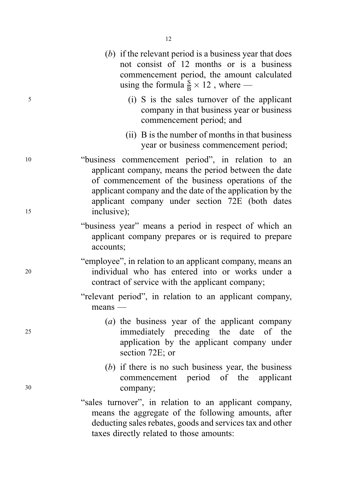- (b) if the relevant period is a business year that does not consist of 12 months or is a business commencement period, the amount calculated using the formula  $\frac{S}{B} \times 12$ , where — <sup>5</sup> (i) S is the sales turnover of the applicant company in that business year or business commencement period; and (ii) B is the number of months in that business year or business commencement period; <sup>10</sup> "business commencement period", in relation to an applicant company, means the period between the date of commencement of the business operations of the applicant company and the date of the application by the applicant company under section 72E (both dates <sup>15</sup> inclusive); "business year" means a period in respect of which an applicant company prepares or is required to prepare accounts; "employee", in relation to an applicant company, means an <sup>20</sup> individual who has entered into or works under a contract of service with the applicant company; "relevant period", in relation to an applicant company, means — (a) the business year of the applicant company <sup>25</sup> immediately preceding the date of the application by the applicant company under section 72E; or (b) if there is no such business year, the business commencement period of the applicant <sup>30</sup> company; "sales turnover", in relation to an applicant company, means the aggregate of the following amounts, after deducting sales rebates, goods and services tax and other
	- taxes directly related to those amounts: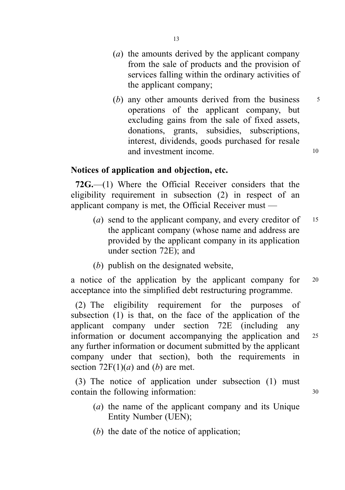- (a) the amounts derived by the applicant company from the sale of products and the provision of services falling within the ordinary activities of the applicant company;
- (b) any other amounts derived from the business  $5$ operations of the applicant company, but excluding gains from the sale of fixed assets, donations, grants, subsidies, subscriptions, interest, dividends, goods purchased for resale and investment income. 10

## Notices of application and objection, etc.

72G.—(1) Where the Official Receiver considers that the eligibility requirement in subsection (2) in respect of an applicant company is met, the Official Receiver must —

- (a) send to the applicant company, and every creditor of  $15$ the applicant company (whose name and address are provided by the applicant company in its application under section 72E); and
- (b) publish on the designated website,

a notice of the application by the applicant company for <sup>20</sup> acceptance into the simplified debt restructuring programme.

(2) The eligibility requirement for the purposes of subsection (1) is that, on the face of the application of the applicant company under section 72E (including any information or document accompanying the application and <sup>25</sup> any further information or document submitted by the applicant company under that section), both the requirements in section  $72F(1)(a)$  and (b) are met.

(3) The notice of application under subsection (1) must contain the following information:  $30$ 

- (a) the name of the applicant company and its Unique Entity Number (UEN);
- (b) the date of the notice of application;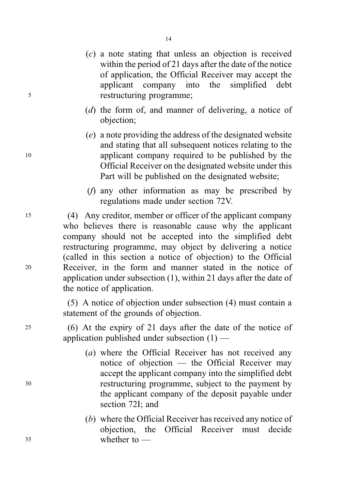- (c) a note stating that unless an objection is received within the period of 21 days after the date of the notice of application, the Official Receiver may accept the applicant company into the simplified debt <sup>5</sup> restructuring programme;
	- (d) the form of, and manner of delivering, a notice of objection;
- (e) a note providing the address of the designated website and stating that all subsequent notices relating to the <sup>10</sup> applicant company required to be published by the Official Receiver on the designated website under this Part will be published on the designated website;
	- (f) any other information as may be prescribed by regulations made under section 72V.
- <sup>15</sup> (4) Any creditor, member or officer of the applicant company who believes there is reasonable cause why the applicant company should not be accepted into the simplified debt restructuring programme, may object by delivering a notice (called in this section a notice of objection) to the Official <sup>20</sup> Receiver, in the form and manner stated in the notice of application under subsection (1), within 21 days after the date of the notice of application.

(5) A notice of objection under subsection (4) must contain a statement of the grounds of objection.

- <sup>25</sup> (6) At the expiry of 21 days after the date of the notice of application published under subsection (1) —
- (a) where the Official Receiver has not received any notice of objection — the Official Receiver may accept the applicant company into the simplified debt <sup>30</sup> restructuring programme, subject to the payment by the applicant company of the deposit payable under section 72I; and
- (b) where the Official Receiver has received any notice of objection, the Official Receiver must decide <sup>35</sup> whether to —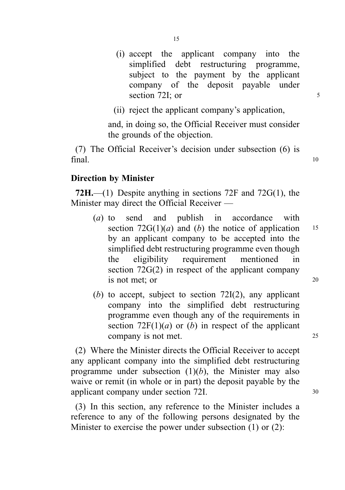(i) accept the applicant company into the simplified debt restructuring programme, subject to the payment by the applicant company of the deposit payable under section 72I; or 5

(ii) reject the applicant company's application,

and, in doing so, the Official Receiver must consider the grounds of the objection.

(7) The Official Receiver's decision under subsection (6) is  $final.$  10

## Direction by Minister

72H.—(1) Despite anything in sections 72F and 72 $G(1)$ , the Minister may direct the Official Receiver —

- (a) to send and publish in accordance with section  $72G(1)(a)$  and (b) the notice of application 15 by an applicant company to be accepted into the simplified debt restructuring programme even though the eligibility requirement mentioned in section 72G(2) in respect of the applicant company is not met; or 20
- (b) to accept, subject to section  $72I(2)$ , any applicant company into the simplified debt restructuring programme even though any of the requirements in section  $72F(1)(a)$  or (b) in respect of the applicant company is not met. 25

(2) Where the Minister directs the Official Receiver to accept any applicant company into the simplified debt restructuring programme under subsection  $(1)(b)$ , the Minister may also waive or remit (in whole or in part) the deposit payable by the applicant company under section 72I. 30

(3) In this section, any reference to the Minister includes a reference to any of the following persons designated by the Minister to exercise the power under subsection (1) or (2):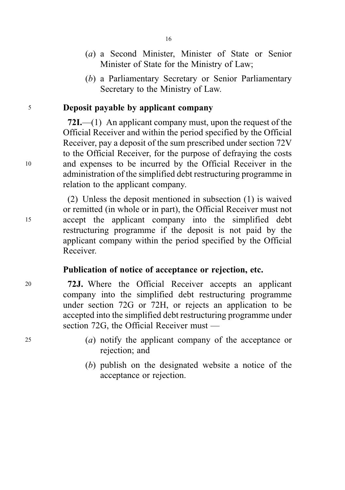- (a) a Second Minister, Minister of State or Senior Minister of State for the Ministry of Law;
- (b) a Parliamentary Secretary or Senior Parliamentary Secretary to the Ministry of Law.

## <sup>5</sup> Deposit payable by applicant company

72I.—(1) An applicant company must, upon the request of the Official Receiver and within the period specified by the Official Receiver, pay a deposit of the sum prescribed under section 72V to the Official Receiver, for the purpose of defraying the costs <sup>10</sup> and expenses to be incurred by the Official Receiver in the administration of the simplified debt restructuring programme in relation to the applicant company.

(2) Unless the deposit mentioned in subsection (1) is waived or remitted (in whole or in part), the Official Receiver must not <sup>15</sup> accept the applicant company into the simplified debt restructuring programme if the deposit is not paid by the applicant company within the period specified by the Official Receiver.

## Publication of notice of acceptance or rejection, etc.

<sup>20</sup> 72J. Where the Official Receiver accepts an applicant company into the simplified debt restructuring programme under section 72G or 72H, or rejects an application to be accepted into the simplified debt restructuring programme under section 72G, the Official Receiver must —

- <sup>25</sup> (a) notify the applicant company of the acceptance or rejection; and
	- (b) publish on the designated website a notice of the acceptance or rejection.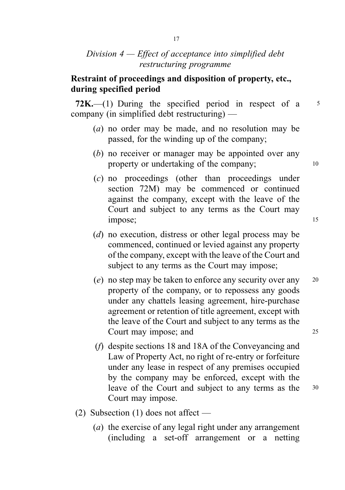## Division  $4$  – Effect of acceptance into simplified debt restructuring programme

## Restraint of proceedings and disposition of property, etc., during specified period

72K.—(1) During the specified period in respect of a  $5$ company (in simplified debt restructuring) —

- (a) no order may be made, and no resolution may be passed, for the winding up of the company;
- (b) no receiver or manager may be appointed over any property or undertaking of the company; 10
- (c) no proceedings (other than proceedings under section 72M) may be commenced or continued against the company, except with the leave of the Court and subject to any terms as the Court may impose; 15
- (d) no execution, distress or other legal process may be commenced, continued or levied against any property of the company, except with the leave of the Court and subject to any terms as the Court may impose;
- (e) no step may be taken to enforce any security over any <sup>20</sup> property of the company, or to repossess any goods under any chattels leasing agreement, hire-purchase agreement or retention of title agreement, except with the leave of the Court and subject to any terms as the Court may impose; and 25
- (f) despite sections 18 and 18A of the Conveyancing and Law of Property Act, no right of re-entry or forfeiture under any lease in respect of any premises occupied by the company may be enforced, except with the leave of the Court and subject to any terms as the 30 Court may impose.
- (2) Subsection (1) does not affect
	- (a) the exercise of any legal right under any arrangement (including a set-off arrangement or a netting

17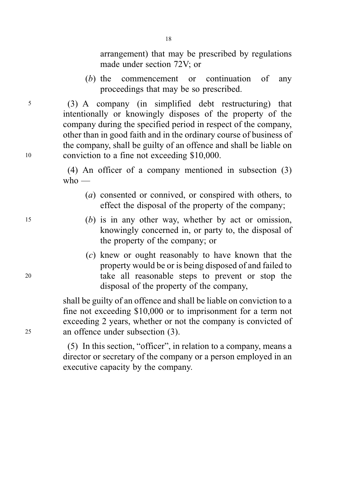18

arrangement) that may be prescribed by regulations made under section 72V; or

(b) the commencement or continuation of any proceedings that may be so prescribed.

<sup>5</sup> (3) A company (in simplified debt restructuring) that intentionally or knowingly disposes of the property of the company during the specified period in respect of the company, other than in good faith and in the ordinary course of business of the company, shall be guilty of an offence and shall be liable on <sup>10</sup> conviction to a fine not exceeding \$10,000.

> (4) An officer of a company mentioned in subsection (3)  $w$ ho —

- (a) consented or connived, or conspired with others, to effect the disposal of the property of the company;
- <sup>15</sup> (b) is in any other way, whether by act or omission, knowingly concerned in, or party to, the disposal of the property of the company; or
- (c) knew or ought reasonably to have known that the property would be or is being disposed of and failed to <sup>20</sup> take all reasonable steps to prevent or stop the disposal of the property of the company,

shall be guilty of an offence and shall be liable on conviction to a fine not exceeding \$10,000 or to imprisonment for a term not exceeding 2 years, whether or not the company is convicted of <sup>25</sup> an offence under subsection (3).

> (5) In this section, "officer", in relation to a company, means a director or secretary of the company or a person employed in an executive capacity by the company.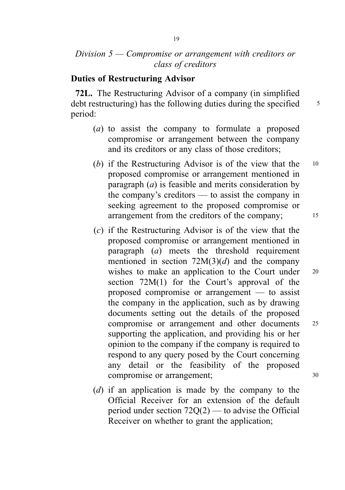## Division 5 — Compromise or arrangement with creditors or class of creditors

#### Duties of Restructuring Advisor

72L. The Restructuring Advisor of a company (in simplified debt restructuring) has the following duties during the specified  $\frac{5}{5}$ period:

- (a) to assist the company to formulate a proposed compromise or arrangement between the company and its creditors or any class of those creditors;
- (b) if the Restructuring Advisor is of the view that the 10 proposed compromise or arrangement mentioned in paragraph  $(a)$  is feasible and merits consideration by the company's creditors — to assist the company in seeking agreement to the proposed compromise or arrangement from the creditors of the company; 15
- (c) if the Restructuring Advisor is of the view that the proposed compromise or arrangement mentioned in paragraph  $(a)$  meets the threshold requirement mentioned in section  $72M(3)(d)$  and the company wishes to make an application to the Court under 20 section 72M(1) for the Court's approval of the proposed compromise or arrangement — to assist the company in the application, such as by drawing documents setting out the details of the proposed compromise or arrangement and other documents <sup>25</sup> supporting the application, and providing his or her opinion to the company if the company is required to respond to any query posed by the Court concerning any detail or the feasibility of the proposed compromise or arrangement; 30
- (d) if an application is made by the company to the Official Receiver for an extension of the default period under section 72Q(2) — to advise the Official Receiver on whether to grant the application;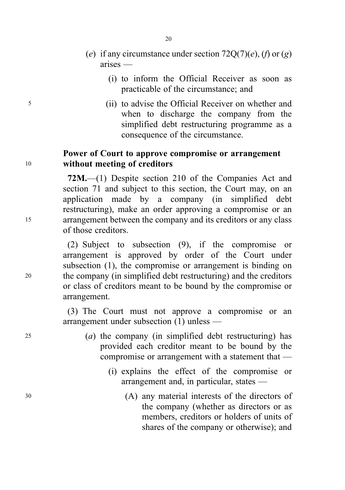- (e) if any circumstance under section  $72O(7)(e)$ , (f) or (g) arises —
	- (i) to inform the Official Receiver as soon as practicable of the circumstance; and
- <sup>5</sup> (ii) to advise the Official Receiver on whether and when to discharge the company from the simplified debt restructuring programme as a consequence of the circumstance.

## Power of Court to approve compromise or arrangement <sup>10</sup> without meeting of creditors

72M.—(1) Despite section 210 of the Companies Act and section 71 and subject to this section, the Court may, on an application made by a company (in simplified debt restructuring), make an order approving a compromise or an <sup>15</sup> arrangement between the company and its creditors or any class of those creditors.

(2) Subject to subsection (9), if the compromise or arrangement is approved by order of the Court under subsection (1), the compromise or arrangement is binding on <sup>20</sup> the company (in simplified debt restructuring) and the creditors or class of creditors meant to be bound by the compromise or arrangement.

> (3) The Court must not approve a compromise or an arrangement under subsection (1) unless —

- $(a)$  the company (in simplified debt restructuring) has provided each creditor meant to be bound by the compromise or arrangement with a statement that —
	- (i) explains the effect of the compromise or arrangement and, in particular, states —
- <sup>30</sup> (A) any material interests of the directors of the company (whether as directors or as members, creditors or holders of units of shares of the company or otherwise); and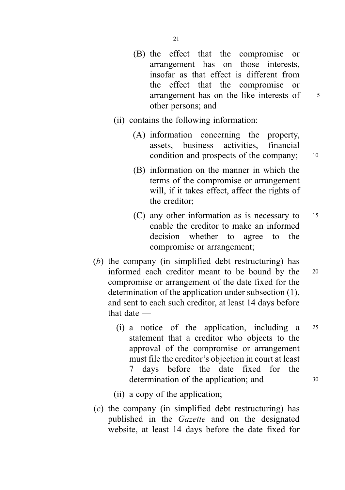- (B) the effect that the compromise or arrangement has on those interests, insofar as that effect is different from the effect that the compromise or arrangement has on the like interests of  $\frac{5}{5}$ other persons; and
- (ii) contains the following information:
	- (A) information concerning the property, assets, business activities, financial condition and prospects of the company; 10
	- (B) information on the manner in which the terms of the compromise or arrangement will, if it takes effect, affect the rights of the creditor;
	- (C) any other information as is necessary to <sup>15</sup> enable the creditor to make an informed decision whether to agree to the compromise or arrangement;
- (b) the company (in simplified debt restructuring) has informed each creditor meant to be bound by the <sup>20</sup> compromise or arrangement of the date fixed for the determination of the application under subsection (1), and sent to each such creditor, at least 14 days before that date —
	- (i) a notice of the application, including a <sup>25</sup> statement that a creditor who objects to the approval of the compromise or arrangement must file the creditor's objection in court at least 7 days before the date fixed for the determination of the application; and  $30$
	- (ii) a copy of the application;
- (c) the company (in simplified debt restructuring) has published in the Gazette and on the designated website, at least 14 days before the date fixed for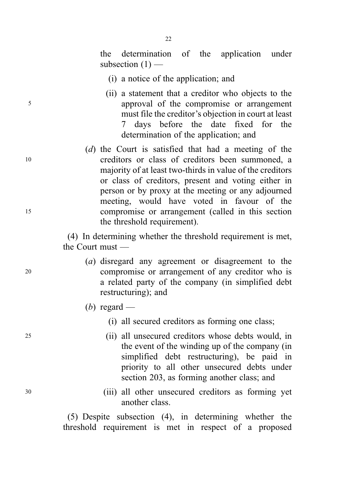the determination of the application under subsection  $(1)$  —

(i) a notice of the application; and

 $22$ 

- (ii) a statement that a creditor who objects to the <sup>5</sup> approval of the compromise or arrangement must file the creditor's objection in court at least 7 days before the date fixed for the determination of the application; and
- (d) the Court is satisfied that had a meeting of the <sup>10</sup> creditors or class of creditors been summoned, a majority of at least two-thirds in value of the creditors or class of creditors, present and voting either in person or by proxy at the meeting or any adjourned meeting, would have voted in favour of the <sup>15</sup> compromise or arrangement (called in this section the threshold requirement).

(4) In determining whether the threshold requirement is met, the Court must —

- (a) disregard any agreement or disagreement to the <sup>20</sup> compromise or arrangement of any creditor who is a related party of the company (in simplified debt restructuring); and
	- (b) regard
		- (i) all secured creditors as forming one class;
- <sup>25</sup> (ii) all unsecured creditors whose debts would, in the event of the winding up of the company (in simplified debt restructuring), be paid in priority to all other unsecured debts under section 203, as forming another class; and
- <sup>30</sup> (iii) all other unsecured creditors as forming yet another class.

(5) Despite subsection (4), in determining whether the threshold requirement is met in respect of a proposed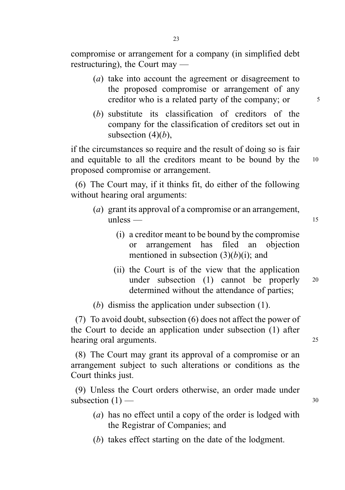compromise or arrangement for a company (in simplified debt restructuring), the Court may —

- (a) take into account the agreement or disagreement to the proposed compromise or arrangement of any creditor who is a related party of the company; or  $\frac{5}{10}$
- (b) substitute its classification of creditors of the company for the classification of creditors set out in subsection  $(4)(b)$ ,

if the circumstances so require and the result of doing so is fair and equitable to all the creditors meant to be bound by the 10 proposed compromise or arrangement.

(6) The Court may, if it thinks fit, do either of the following without hearing oral arguments:

- (a) grant its approval of a compromise or an arrangement,  $unless$  — 15
	- (i) a creditor meant to be bound by the compromise or arrangement has filed an objection mentioned in subsection  $(3)(b)(i)$ ; and
	- (ii) the Court is of the view that the application under subsection (1) cannot be properly <sup>20</sup> determined without the attendance of parties;

(b) dismiss the application under subsection (1).

(7) To avoid doubt, subsection (6) does not affect the power of the Court to decide an application under subsection (1) after hearing oral arguments. 25

(8) The Court may grant its approval of a compromise or an arrangement subject to such alterations or conditions as the Court thinks just.

(9) Unless the Court orders otherwise, an order made under subsection  $(1)$  — 30

- (a) has no effect until a copy of the order is lodged with the Registrar of Companies; and
- (b) takes effect starting on the date of the lodgment.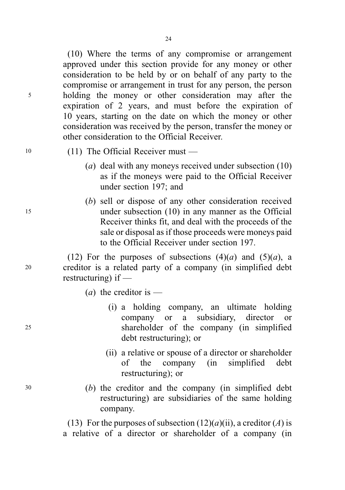$24$ 

(10) Where the terms of any compromise or arrangement approved under this section provide for any money or other consideration to be held by or on behalf of any party to the compromise or arrangement in trust for any person, the person <sup>5</sup> holding the money or other consideration may after the expiration of 2 years, and must before the expiration of 10 years, starting on the date on which the money or other consideration was received by the person, transfer the money or other consideration to the Official Receiver.

- <sup>10</sup> (11) The Official Receiver must
	- (a) deal with any moneys received under subsection (10) as if the moneys were paid to the Official Receiver under section 197; and
- (b) sell or dispose of any other consideration received <sup>15</sup> under subsection (10) in any manner as the Official Receiver thinks fit, and deal with the proceeds of the sale or disposal as if those proceeds were moneys paid to the Official Receiver under section 197.

(12) For the purposes of subsections  $(4)(a)$  and  $(5)(a)$ , a <sup>20</sup> creditor is a related party of a company (in simplified debt restructuring) if —

- (*a*) the creditor is  $-$
- (i) a holding company, an ultimate holding company or a subsidiary, director or <sup>25</sup> shareholder of the company (in simplified debt restructuring); or
	- (ii) a relative or spouse of a director or shareholder of the company (in simplified debt restructuring); or
- <sup>30</sup> (b) the creditor and the company (in simplified debt restructuring) are subsidiaries of the same holding company.

(13) For the purposes of subsection  $(12)(a)(ii)$ , a creditor  $(A)$  is a relative of a director or shareholder of a company (in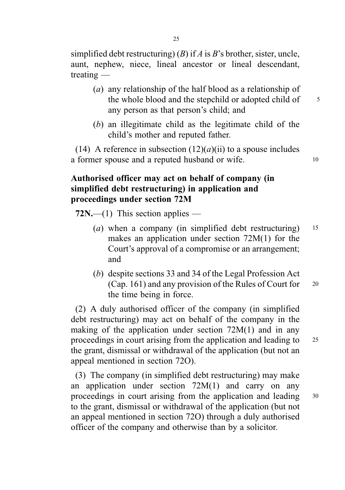simplified debt restructuring) (B) if A is B's brother, sister, uncle, aunt, nephew, niece, lineal ancestor or lineal descendant, treating —

- (a) any relationship of the half blood as a relationship of the whole blood and the stepchild or adopted child of 5 any person as that person's child; and
- (b) an illegitimate child as the legitimate child of the child's mother and reputed father.

(14) A reference in subsection  $(12)(a)(ii)$  to a spouse includes a former spouse and a reputed husband or wife. 10

## Authorised officer may act on behalf of company (in simplified debt restructuring) in application and proceedings under section 72M

 $72N$ ,—(1) This section applies —

- (a) when a company (in simplified debt restructuring)  $15$ makes an application under section 72M(1) for the Court's approval of a compromise or an arrangement; and
- (b) despite sections 33 and 34 of the Legal Profession Act (Cap. 161) and any provision of the Rules of Court for <sup>20</sup> the time being in force.

(2) A duly authorised officer of the company (in simplified debt restructuring) may act on behalf of the company in the making of the application under section 72M(1) and in any proceedings in court arising from the application and leading to <sup>25</sup> the grant, dismissal or withdrawal of the application (but not an appeal mentioned in section 72O).

(3) The company (in simplified debt restructuring) may make an application under section 72M(1) and carry on any proceedings in court arising from the application and leading <sup>30</sup> to the grant, dismissal or withdrawal of the application (but not an appeal mentioned in section 72O) through a duly authorised officer of the company and otherwise than by a solicitor.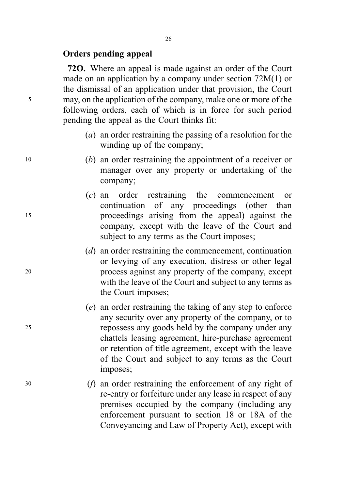#### Orders pending appeal

72O. Where an appeal is made against an order of the Court made on an application by a company under section 72M(1) or the dismissal of an application under that provision, the Court <sup>5</sup> may, on the application of the company, make one or more of the following orders, each of which is in force for such period pending the appeal as the Court thinks fit:

- (a) an order restraining the passing of a resolution for the winding up of the company;
- <sup>10</sup> (b) an order restraining the appointment of a receiver or manager over any property or undertaking of the company;
- (c) an order restraining the commencement or continuation of any proceedings (other than <sup>15</sup> proceedings arising from the appeal) against the company, except with the leave of the Court and subject to any terms as the Court imposes;
- (d) an order restraining the commencement, continuation or levying of any execution, distress or other legal <sup>20</sup> process against any property of the company, except with the leave of the Court and subject to any terms as the Court imposes;
- (e) an order restraining the taking of any step to enforce any security over any property of the company, or to <sup>25</sup> repossess any goods held by the company under any chattels leasing agreement, hire-purchase agreement or retention of title agreement, except with the leave of the Court and subject to any terms as the Court imposes;
- <sup>30</sup> (f) an order restraining the enforcement of any right of re-entry or forfeiture under any lease in respect of any premises occupied by the company (including any enforcement pursuant to section 18 or 18A of the Conveyancing and Law of Property Act), except with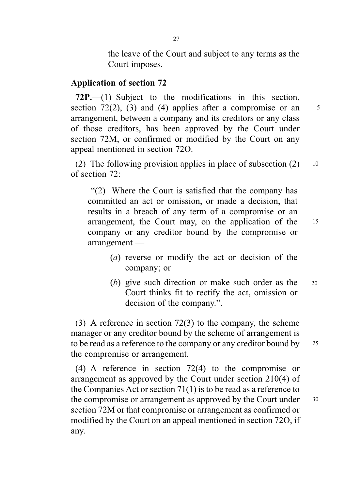the leave of the Court and subject to any terms as the Court imposes.

## Application of section 72

72P.—(1) Subject to the modifications in this section, section 72(2), (3) and (4) applies after a compromise or an  $\frac{5}{3}$ arrangement, between a company and its creditors or any class of those creditors, has been approved by the Court under section 72M, or confirmed or modified by the Court on any appeal mentioned in section 72O.

(2) The following provision applies in place of subsection  $(2)$  10 of section 72:

. "(2) Where the Court is satisfied that the company has committed an act or omission, or made a decision, that results in a breach of any term of a compromise or an arrangement, the Court may, on the application of the <sup>15</sup> company or any creditor bound by the compromise or arrangement —

- 
- (a) reverse or modify the act or decision of the company; or
- (b) give such direction or make such order as the Court thinks fit to rectify the act, omission or decision of the company.". 20

(3) A reference in section 72(3) to the company, the scheme manager or any creditor bound by the scheme of arrangement is to be read as a reference to the company or any creditor bound by 25 the compromise or arrangement.

(4) A reference in section 72(4) to the compromise or arrangement as approved by the Court under section 210(4) of the Companies Act or section 71(1) is to be read as a reference to the compromise or arrangement as approved by the Court under 30 section 72M or that compromise or arrangement as confirmed or modified by the Court on an appeal mentioned in section 72O, if any.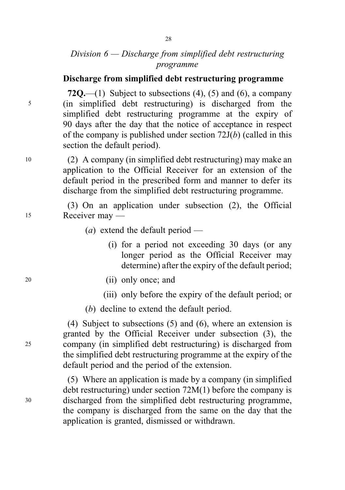## Division  $6 -$ Discharge from simplified debt restructuring programme

#### Discharge from simplified debt restructuring programme

72Q.—(1) Subject to subsections  $(4)$ ,  $(5)$  and  $(6)$ , a company <sup>5</sup> (in simplified debt restructuring) is discharged from the simplified debt restructuring programme at the expiry of 90 days after the day that the notice of acceptance in respect of the company is published under section  $72J(b)$  (called in this section the default period).

<sup>10</sup> (2) A company (in simplified debt restructuring) may make an application to the Official Receiver for an extension of the default period in the prescribed form and manner to defer its discharge from the simplified debt restructuring programme.

(3) On an application under subsection (2), the Official <sup>15</sup> Receiver may —

- (*a*) extend the default period
	- (i) for a period not exceeding 30 days (or any longer period as the Official Receiver may determine) after the expiry of the default period;
- <sup>20</sup> (ii) only once; and
	- (iii) only before the expiry of the default period; or
	- (b) decline to extend the default period.

(4) Subject to subsections (5) and (6), where an extension is granted by the Official Receiver under subsection (3), the <sup>25</sup> company (in simplified debt restructuring) is discharged from the simplified debt restructuring programme at the expiry of the default period and the period of the extension.

(5) Where an application is made by a company (in simplified debt restructuring) under section 72M(1) before the company is <sup>30</sup> discharged from the simplified debt restructuring programme, the company is discharged from the same on the day that the application is granted, dismissed or withdrawn.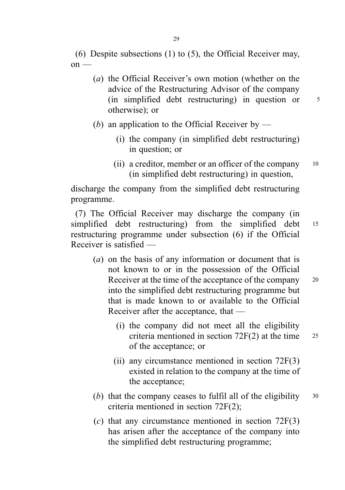(6) Despite subsections (1) to (5), the Official Receiver may,  $on -$ 

- (a) the Official Receiver's own motion (whether on the advice of the Restructuring Advisor of the company (in simplified debt restructuring) in question or <sup>5</sup> otherwise); or
- (b) an application to the Official Receiver by
	- (i) the company (in simplified debt restructuring) in question; or
	- (ii) a creditor, member or an officer of the company  $10$ (in simplified debt restructuring) in question,

discharge the company from the simplified debt restructuring programme.

(7) The Official Receiver may discharge the company (in simplified debt restructuring) from the simplified debt 15 restructuring programme under subsection (6) if the Official Receiver is satisfied —

- (a) on the basis of any information or document that is not known to or in the possession of the Official Receiver at the time of the acceptance of the company 20 into the simplified debt restructuring programme but that is made known to or available to the Official Receiver after the acceptance, that —
	- (i) the company did not meet all the eligibility criteria mentioned in section  $72F(2)$  at the time  $25$ of the acceptance; or
	- (ii) any circumstance mentioned in section 72F(3) existed in relation to the company at the time of the acceptance;
- (b) that the company ceases to fulfil all of the eligibility  $30$ criteria mentioned in section 72F(2);
- $(c)$  that any circumstance mentioned in section 72F(3) has arisen after the acceptance of the company into the simplified debt restructuring programme;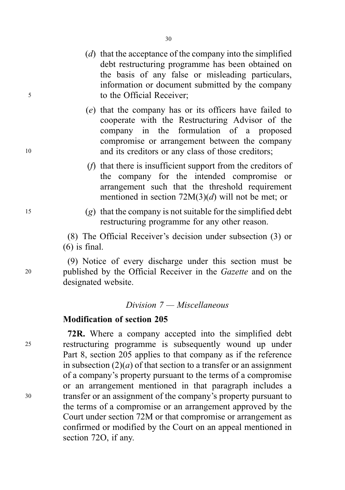- (d) that the acceptance of the company into the simplified debt restructuring programme has been obtained on the basis of any false or misleading particulars, information or document submitted by the company <sup>5</sup> to the Official Receiver;
- (e) that the company has or its officers have failed to cooperate with the Restructuring Advisor of the company in the formulation of a proposed compromise or arrangement between the company 10 and its creditors or any class of those creditors;
	- (f) that there is insufficient support from the creditors of the company for the intended compromise or arrangement such that the threshold requirement mentioned in section  $72M(3)(d)$  will not be met; or
- $(9)$  that the company is not suitable for the simplified debt restructuring programme for any other reason.

(8) The Official Receiver's decision under subsection (3) or  $(6)$  is final.

(9) Notice of every discharge under this section must be <sup>20</sup> published by the Official Receiver in the Gazette and on the designated website.

#### Division 7 — Miscellaneous

## Modification of section 205

72R. Where a company accepted into the simplified debt <sup>25</sup> restructuring programme is subsequently wound up under Part 8, section 205 applies to that company as if the reference in subsection  $(2)(a)$  of that section to a transfer or an assignment of a company's property pursuant to the terms of a compromise or an arrangement mentioned in that paragraph includes a <sup>30</sup> transfer or an assignment of the company's property pursuant to the terms of a compromise or an arrangement approved by the Court under section 72M or that compromise or arrangement as confirmed or modified by the Court on an appeal mentioned in section 72O, if any.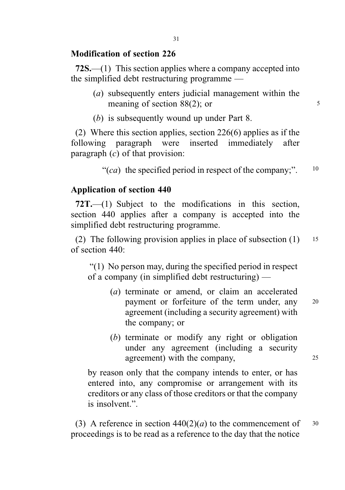## Modification of section 226

72S.—(1) This section applies where a company accepted into the simplified debt restructuring programme —

- (a) subsequently enters judicial management within the meaning of section  $88(2)$ ; or  $5^5$
- (b) is subsequently wound up under Part 8.

(2) Where this section applies, section 226(6) applies as if the following paragraph were inserted immediately after paragraph  $(c)$  of that provision:

"(ca) the specified period in respect of the company;".  $10$ 

## Application of section 440

72T.—(1) Subject to the modifications in this section, section 440 applies after a company is accepted into the simplified debt restructuring programme.

(2) The following provision applies in place of subsection  $(1)$  15 of section 440:

. "(1) No person may, during the specified period in respect of a company (in simplified debt restructuring) —

- (a) terminate or amend, or claim an accelerated payment or forfeiture of the term under, any <sup>20</sup> agreement (including a security agreement) with the company; or
- (b) terminate or modify any right or obligation under any agreement (including a security agreement) with the company, 25

by reason only that the company intends to enter, or has entered into, any compromise or arrangement with its creditors or any class of those creditors or that the company is insolvent.".

(3) A reference in section  $440(2)(a)$  to the commencement of  $30$ proceedings is to be read as a reference to the day that the notice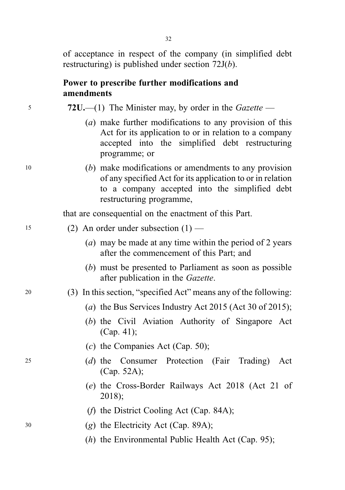of acceptance in respect of the company (in simplified debt restructuring) is published under section 72J(b).

#### Power to prescribe further modifications and amendments

<sup>5</sup> 72U.—(1) The Minister may, by order in the Gazette —

- (a) make further modifications to any provision of this Act for its application to or in relation to a company accepted into the simplified debt restructuring programme; or
- <sup>10</sup> (b) make modifications or amendments to any provision of any specified Act for its application to or in relation to a company accepted into the simplified debt restructuring programme,

that are consequential on the enactment of this Part.

#### $15$  (2) An order under subsection  $(1)$  —

- (a) may be made at any time within the period of 2 years after the commencement of this Part; and
- (b) must be presented to Parliament as soon as possible after publication in the Gazette.

## <sup>20</sup> (3) In this section, "specified Act" means any of the following:

- (a) the Bus Services Industry Act 2015 (Act 30 of 2015);
- (b) the Civil Aviation Authority of Singapore Act (Cap. 41);
- $(c)$  the Companies Act (Cap. 50);
- <sup>25</sup> (d) the Consumer Protection (Fair Trading) Act (Cap. 52A);
	- (e) the Cross-Border Railways Act 2018 (Act 21 of 2018);
	- (f) the District Cooling Act (Cap. 84A);
- <sup>30</sup> (g) the Electricity Act (Cap. 89A);
	- (*h*) the Environmental Public Health Act (Cap. 95);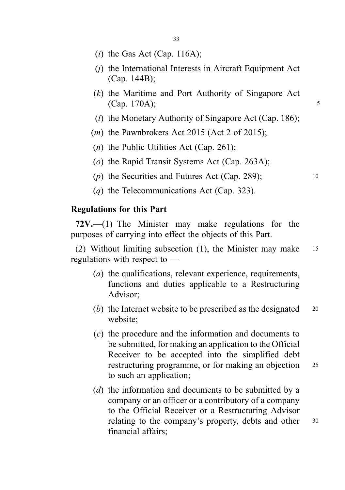- $(i)$  the Gas Act (Cap. 116A);
- (j) the International Interests in Aircraft Equipment Act (Cap. 144B);
- (k) the Maritime and Port Authority of Singapore Act  $(Cap. 170A);$
- ( $l$ ) the Monetary Authority of Singapore Act (Cap. 186);
- $(m)$  the Pawnbrokers Act 2015 (Act 2 of 2015);
- $(n)$  the Public Utilities Act (Cap. 261);
- (o) the Rapid Transit Systems Act (Cap. 263A);
- ( $p$ ) the Securities and Futures Act (Cap. 289);  $10^{10}$
- (q) the Telecommunications Act (Cap. 323).

#### Regulations for this Part

 $72V$ ,—(1) The Minister may make regulations for the purposes of carrying into effect the objects of this Part.

(2) Without limiting subsection (1), the Minister may make <sup>15</sup> regulations with respect to —

- (a) the qualifications, relevant experience, requirements, functions and duties applicable to a Restructuring Advisor;
- (b) the Internet website to be prescribed as the designated  $20$ website;
- (c) the procedure and the information and documents to be submitted, for making an application to the Official Receiver to be accepted into the simplified debt restructuring programme, or for making an objection 25 to such an application;
- (d) the information and documents to be submitted by a company or an officer or a contributory of a company to the Official Receiver or a Restructuring Advisor relating to the company's property, debts and other 30 financial affairs;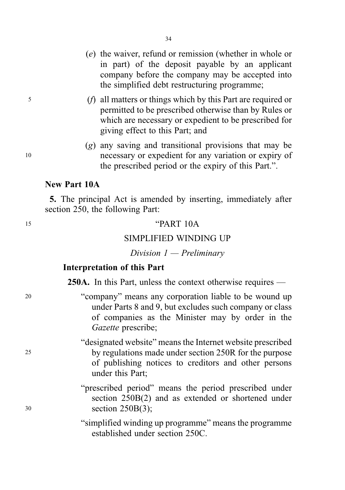- (e) the waiver, refund or remission (whether in whole or in part) of the deposit payable by an applicant company before the company may be accepted into the simplified debt restructuring programme;
- <sup>5</sup> (f) all matters or things which by this Part are required or permitted to be prescribed otherwise than by Rules or which are necessary or expedient to be prescribed for giving effect to this Part; and
- (g) any saving and transitional provisions that may be <sup>10</sup> necessary or expedient for any variation or expiry of the prescribed period or the expiry of this Part.".

#### New Part 10A

5. The principal Act is amended by inserting, immediately after section 250, the following Part:

#### <sup>15</sup> "PART 10A

#### SIMPLIFIED WINDING UP

Division 1 — Preliminary

#### Interpretation of this Part

250A. In this Part, unless the context otherwise requires —

- <sup>20</sup> "company" means any corporation liable to be wound up under Parts 8 and 9, but excludes such company or class of companies as the Minister may by order in the Gazette prescribe;
- "designated website" means the Internet website prescribed <sup>25</sup> by regulations made under section 250R for the purpose of publishing notices to creditors and other persons under this Part;

"prescribed period" means the period prescribed under section 250B(2) and as extended or shortened under <sup>30</sup> section 250B(3);

> "simplified winding up programme" means the programme established under section 250C.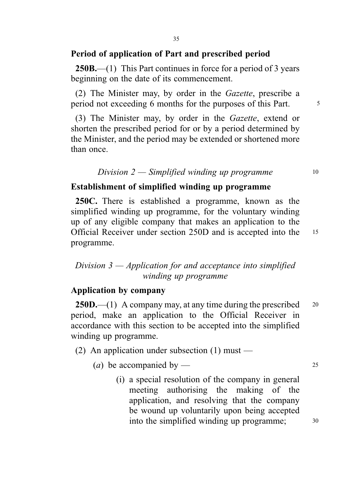#### Period of application of Part and prescribed period

**250B.**—(1) This Part continues in force for a period of 3 years beginning on the date of its commencement.

(2) The Minister may, by order in the Gazette, prescribe a period not exceeding 6 months for the purposes of this Part.

(3) The Minister may, by order in the Gazette, extend or shorten the prescribed period for or by a period determined by the Minister, and the period may be extended or shortened more than once.

#### Division  $2$  — Simplified winding up programme  $10$

#### Establishment of simplified winding up programme

250C. There is established a programme, known as the simplified winding up programme, for the voluntary winding up of any eligible company that makes an application to the Official Receiver under section 250D and is accepted into the <sup>15</sup> programme.

## Division 3 — Application for and acceptance into simplified winding up programme

#### Application by company

**250D.**—(1) A company may, at any time during the prescribed  $20$ period, make an application to the Official Receiver in accordance with this section to be accepted into the simplified winding up programme.

(2) An application under subsection  $(1)$  must —

(*a*) be accompanied by — 25

(i) a special resolution of the company in general meeting authorising the making of the application, and resolving that the company be wound up voluntarily upon being accepted into the simplified winding up programme;  $30$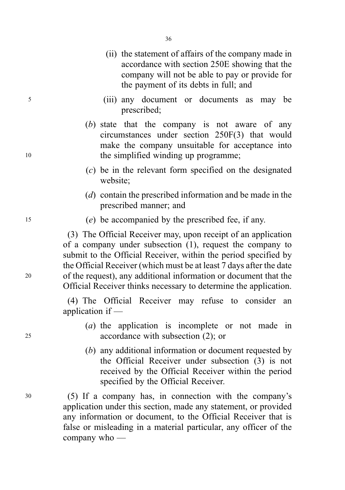- (ii) the statement of affairs of the company made in accordance with section 250E showing that the company will not be able to pay or provide for the payment of its debts in full; and
- <sup>5</sup> (iii) any document or documents as may be prescribed;
- (b) state that the company is not aware of any circumstances under section 250F(3) that would make the company unsuitable for acceptance into 10 the simplified winding up programme;
	- (c) be in the relevant form specified on the designated website;
	- (d) contain the prescribed information and be made in the prescribed manner; and
- <sup>15</sup> (e) be accompanied by the prescribed fee, if any.

(3) The Official Receiver may, upon receipt of an application of a company under subsection (1), request the company to submit to the Official Receiver, within the period specified by the Official Receiver (which must be at least 7 days after the date <sup>20</sup> of the request), any additional information or document that the Official Receiver thinks necessary to determine the application.

> (4) The Official Receiver may refuse to consider an application if —

- (a) the application is incomplete or not made in <sup>25</sup> accordance with subsection (2); or
	- (b) any additional information or document requested by the Official Receiver under subsection (3) is not received by the Official Receiver within the period specified by the Official Receiver.

<sup>30</sup> (5) If a company has, in connection with the company's application under this section, made any statement, or provided any information or document, to the Official Receiver that is false or misleading in a material particular, any officer of the company who —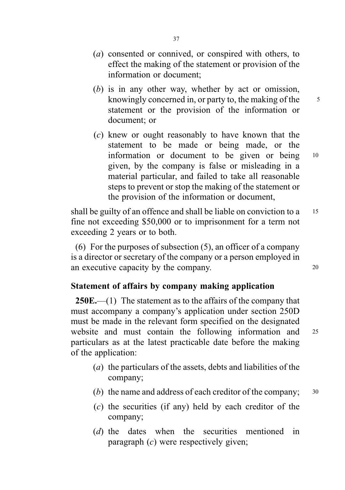- (a) consented or connived, or conspired with others, to effect the making of the statement or provision of the information or document;
- (b) is in any other way, whether by act or omission, knowingly concerned in, or party to, the making of the  $\frac{5}{5}$ statement or the provision of the information or document; or
- (c) knew or ought reasonably to have known that the statement to be made or being made, or the information or document to be given or being <sup>10</sup> given, by the company is false or misleading in a material particular, and failed to take all reasonable steps to prevent or stop the making of the statement or the provision of the information or document,

shall be guilty of an offence and shall be liable on conviction to a 15 fine not exceeding \$50,000 or to imprisonment for a term not exceeding 2 years or to both.

(6) For the purposes of subsection (5), an officer of a company is a director or secretary of the company or a person employed in an executive capacity by the company.

## Statement of affairs by company making application

250E.—(1) The statement as to the affairs of the company that must accompany a company's application under section 250D must be made in the relevant form specified on the designated website and must contain the following information and 25 particulars as at the latest practicable date before the making of the application:

- (a) the particulars of the assets, debts and liabilities of the company;
- (b) the name and address of each creditor of the company;  $30$
- $(c)$  the securities (if any) held by each creditor of the company;
- (d) the dates when the securities mentioned in paragraph  $(c)$  were respectively given;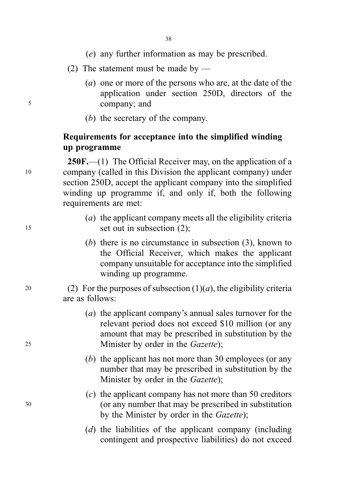- (e) any further information as may be prescribed.
- (2) The statement must be made by —
- (a) one or more of the persons who are, at the date of the application under section 250D, directors of the <sup>5</sup> company; and
	- (b) the secretary of the company.

## Requirements for acceptance into the simplified winding up programme

250F.—(1) The Official Receiver may, on the application of a <sup>10</sup> company (called in this Division the applicant company) under section 250D, accept the applicant company into the simplified winding up programme if, and only if, both the following requirements are met:

- (a) the applicant company meets all the eligibility criteria <sup>15</sup> set out in subsection (2);
	- (b) there is no circumstance in subsection (3), known to the Official Receiver, which makes the applicant company unsuitable for acceptance into the simplified winding up programme.

20 (2) For the purposes of subsection  $(1)(a)$ , the eligibility criteria are as follows:

- (a) the applicant company's annual sales turnover for the relevant period does not exceed \$10 million (or any amount that may be prescribed in substitution by the 25 Minister by order in the *Gazette*);
	- (b) the applicant has not more than 30 employees (or any number that may be prescribed in substitution by the Minister by order in the *Gazette*);
- (c) the applicant company has not more than 50 creditors <sup>30</sup> (or any number that may be prescribed in substitution by the Minister by order in the Gazette);
	- $(d)$  the liabilities of the applicant company (including contingent and prospective liabilities) do not exceed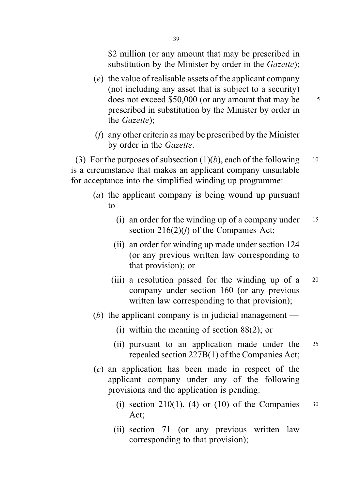\$2 million (or any amount that may be prescribed in substitution by the Minister by order in the *Gazette*);

- (e) the value of realisable assets of the applicant company (not including any asset that is subject to a security) does not exceed \$50,000 (or any amount that may be  $\frac{5}{5}$ prescribed in substitution by the Minister by order in the Gazette);
- (f) any other criteria as may be prescribed by the Minister by order in the Gazette.

(3) For the purposes of subsection  $(1)(b)$ , each of the following 10 is a circumstance that makes an applicant company unsuitable for acceptance into the simplified winding up programme:

- (a) the applicant company is being wound up pursuant  $to -$ 
	- (i) an order for the winding up of a company under  $15$ section  $216(2)(f)$  of the Companies Act;
	- (ii) an order for winding up made under section 124 (or any previous written law corresponding to that provision); or
	- (iii) a resolution passed for the winding up of a <sup>20</sup> company under section 160 (or any previous written law corresponding to that provision);
- (b) the applicant company is in judicial management
	- (i) within the meaning of section 88(2); or
	- (ii) pursuant to an application made under the <sup>25</sup> repealed section 227B(1) of the Companies Act;
- (c) an application has been made in respect of the applicant company under any of the following provisions and the application is pending:
	- (i) section 210(1), (4) or (10) of the Companies  $30$ Act;
	- (ii) section 71 (or any previous written law corresponding to that provision);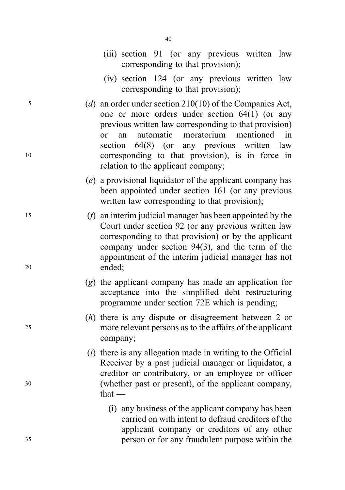- (iii) section 91 (or any previous written law corresponding to that provision);
- (iv) section 124 (or any previous written law corresponding to that provision);
- <sup>5</sup> (d) an order under section 210(10) of the Companies Act, one or more orders under section 64(1) (or any previous written law corresponding to that provision) or an automatic moratorium mentioned in section 64(8) (or any previous written law <sup>10</sup> corresponding to that provision), is in force in relation to the applicant company;
	- (e) a provisional liquidator of the applicant company has been appointed under section 161 (or any previous written law corresponding to that provision);
- <sup>15</sup> (f) an interim judicial manager has been appointed by the Court under section 92 (or any previous written law corresponding to that provision) or by the applicant company under section 94(3), and the term of the appointment of the interim judicial manager has not <sup>20</sup> ended;
	- (g) the applicant company has made an application for acceptance into the simplified debt restructuring programme under section 72E which is pending;
- (h) there is any dispute or disagreement between 2 or <sup>25</sup> more relevant persons as to the affairs of the applicant company;
- $(i)$  there is any allegation made in writing to the Official Receiver by a past judicial manager or liquidator, a creditor or contributory, or an employee or officer <sup>30</sup> (whether past or present), of the applicant company, that —
- (i) any business of the applicant company has been carried on with intent to defraud creditors of the applicant company or creditors of any other <sup>35</sup> person or for any fraudulent purpose within the

- 
- 

- 
-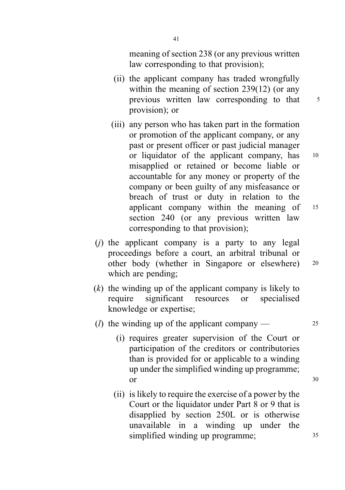meaning of section 238 (or any previous written law corresponding to that provision);

- (ii) the applicant company has traded wrongfully within the meaning of section 239(12) (or any previous written law corresponding to that 5 provision); or
- (iii) any person who has taken part in the formation or promotion of the applicant company, or any past or present officer or past judicial manager or liquidator of the applicant company, has <sup>10</sup> misapplied or retained or become liable or accountable for any money or property of the company or been guilty of any misfeasance or breach of trust or duty in relation to the applicant company within the meaning of <sup>15</sup> section 240 (or any previous written law corresponding to that provision);
- $(i)$  the applicant company is a party to any legal proceedings before a court, an arbitral tribunal or other body (whether in Singapore or elsewhere) <sup>20</sup> which are pending;
- $(k)$  the winding up of the applicant company is likely to require significant resources or specialised knowledge or expertise;
- (*l*) the winding up of the applicant company  $\frac{25}{25}$ 
	- (i) requires greater supervision of the Court or participation of the creditors or contributories than is provided for or applicable to a winding up under the simplified winding up programme; or 30
	- (ii) is likely to require the exercise of a power by the Court or the liquidator under Part 8 or 9 that is disapplied by section 250L or is otherwise unavailable in a winding up under the simplified winding up programme;  $35$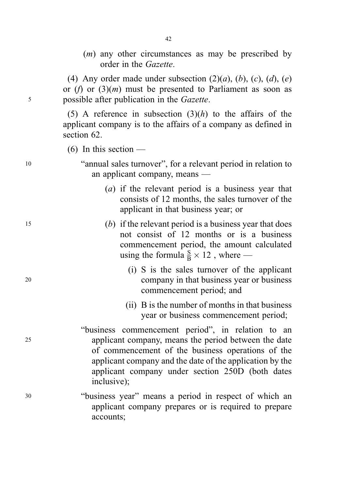(m) any other circumstances as may be prescribed by order in the Gazette.

(4) Any order made under subsection  $(2)(a)$ ,  $(b)$ ,  $(c)$ ,  $(d)$ ,  $(e)$ or (f) or  $(3)(m)$  must be presented to Parliament as soon as <sup>5</sup> possible after publication in the Gazette.

42

(5) A reference in subsection  $(3)(h)$  to the affairs of the applicant company is to the affairs of a company as defined in section 62.

 $(6)$  In this section —

<sup>10</sup> "annual sales turnover", for a relevant period in relation to an applicant company, means —

- (a) if the relevant period is a business year that consists of 12 months, the sales turnover of the applicant in that business year; or
- <sup>15</sup> (b) if the relevant period is a business year that does not consist of 12 months or is a business commencement period, the amount calculated using the formula  $\frac{S}{B} \times 12$ , where —
- (i) S is the sales turnover of the applicant <sup>20</sup> company in that business year or business commencement period; and
	- (ii) B is the number of months in that business year or business commencement period;
- "business commencement period", in relation to an <sup>25</sup> applicant company, means the period between the date of commencement of the business operations of the applicant company and the date of the application by the applicant company under section 250D (both dates inclusive);
- <sup>30</sup> "business year" means a period in respect of which an applicant company prepares or is required to prepare accounts;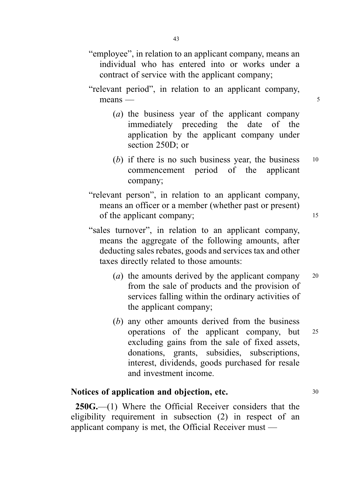## "employee", in relation to an applicant company, means an individual who has entered into or works under a contract of service with the applicant company;

- "relevant period", in relation to an applicant company,  $means$  — 5
	- (a) the business year of the applicant company immediately preceding the date of the application by the applicant company under section 250D; or
	- (b) if there is no such business year, the business  $10$ commencement period of the applicant company;
- "relevant person", in relation to an applicant company, means an officer or a member (whether past or present) of the applicant company; 15
- "sales turnover", in relation to an applicant company, means the aggregate of the following amounts, after deducting sales rebates, goods and services tax and other taxes directly related to those amounts:
	- (*a*) the amounts derived by the applicant company  $20$ from the sale of products and the provision of services falling within the ordinary activities of the applicant company;
	- (b) any other amounts derived from the business operations of the applicant company, but <sup>25</sup> excluding gains from the sale of fixed assets, donations, grants, subsidies, subscriptions, interest, dividends, goods purchased for resale and investment income.

## Notices of application and objection, etc. 30

250G.—(1) Where the Official Receiver considers that the eligibility requirement in subsection (2) in respect of an applicant company is met, the Official Receiver must —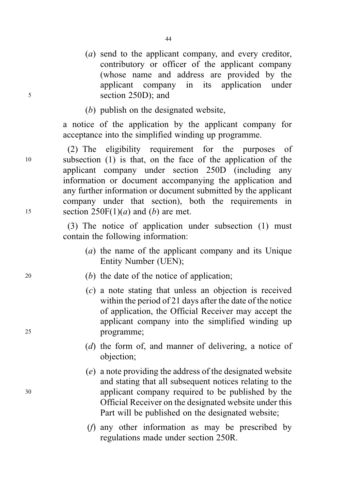- (a) send to the applicant company, and every creditor, contributory or officer of the applicant company (whose name and address are provided by the applicant company in its application under <sup>5</sup> section 250D); and
	- (b) publish on the designated website,

a notice of the application by the applicant company for acceptance into the simplified winding up programme.

(2) The eligibility requirement for the purposes of <sup>10</sup> subsection (1) is that, on the face of the application of the applicant company under section 250D (including any information or document accompanying the application and any further information or document submitted by the applicant company under that section), both the requirements in 15 section  $250F(1)(a)$  and (b) are met.

> (3) The notice of application under subsection (1) must contain the following information:

- (a) the name of the applicant company and its Unique Entity Number (UEN);
- <sup>20</sup> (b) the date of the notice of application;
- (c) a note stating that unless an objection is received within the period of 21 days after the date of the notice of application, the Official Receiver may accept the applicant company into the simplified winding up <sup>25</sup> programme;
	- (d) the form of, and manner of delivering, a notice of objection;
- (e) a note providing the address of the designated website and stating that all subsequent notices relating to the <sup>30</sup> applicant company required to be published by the Official Receiver on the designated website under this Part will be published on the designated website;
	- (f) any other information as may be prescribed by regulations made under section 250R.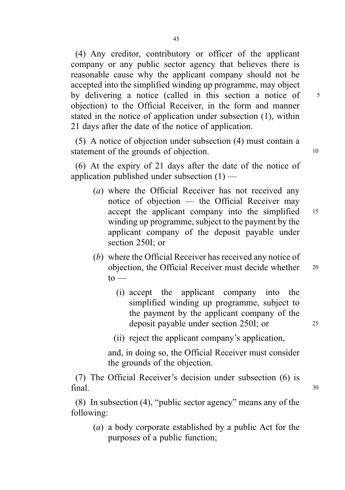(4) Any creditor, contributory or officer of the applicant company or any public sector agency that believes there is reasonable cause why the applicant company should not be accepted into the simplified winding up programme, may object by delivering a notice (called in this section a notice of 5 objection) to the Official Receiver, in the form and manner stated in the notice of application under subsection (1), within 21 days after the date of the notice of application.

(5) A notice of objection under subsection (4) must contain a statement of the grounds of objection.

(6) At the expiry of 21 days after the date of the notice of application published under subsection  $(1)$  —

- (a) where the Official Receiver has not received any notice of objection — the Official Receiver may accept the applicant company into the simplified 15 winding up programme, subject to the payment by the applicant company of the deposit payable under section 250I; or
- (b) where the Official Receiver has received any notice of objection, the Official Receiver must decide whether 20  $to -$ 
	- (i) accept the applicant company into the simplified winding up programme, subject to the payment by the applicant company of the deposit payable under section 250I; or 25
	- (ii) reject the applicant company's application,

and, in doing so, the Official Receiver must consider the grounds of the objection.

(7) The Official Receiver's decision under subsection (6) is  $final.$  30

(8) In subsection (4), "public sector agency" means any of the following:

(a) a body corporate established by a public Act for the purposes of a public function;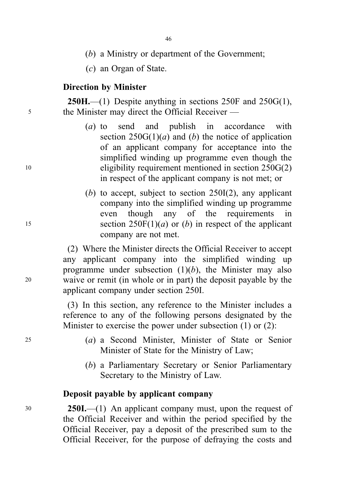(b) a Ministry or department of the Government;

(c) an Organ of State.

## Direction by Minister

**250H.**—(1) Despite anything in sections  $250F$  and  $250G(1)$ , <sup>5</sup> the Minister may direct the Official Receiver —

- (a) to send and publish in accordance with section  $250G(1)(a)$  and (b) the notice of application of an applicant company for acceptance into the simplified winding up programme even though the <sup>10</sup> eligibility requirement mentioned in section 250G(2) in respect of the applicant company is not met; or
- (b) to accept, subject to section  $250I(2)$ , any applicant company into the simplified winding up programme even though any of the requirements in 15 section  $250F(1)(a)$  or (b) in respect of the applicant company are not met.

(2) Where the Minister directs the Official Receiver to accept any applicant company into the simplified winding up programme under subsection  $(1)(b)$ , the Minister may also <sup>20</sup> waive or remit (in whole or in part) the deposit payable by the applicant company under section 250I.

> (3) In this section, any reference to the Minister includes a reference to any of the following persons designated by the Minister to exercise the power under subsection (1) or (2):

- <sup>25</sup> (a) a Second Minister, Minister of State or Senior Minister of State for the Ministry of Law;
	- (b) a Parliamentary Secretary or Senior Parliamentary Secretary to the Ministry of Law.

#### Deposit payable by applicant company

<sup>30</sup> 250I.—(1) An applicant company must, upon the request of the Official Receiver and within the period specified by the Official Receiver, pay a deposit of the prescribed sum to the Official Receiver, for the purpose of defraying the costs and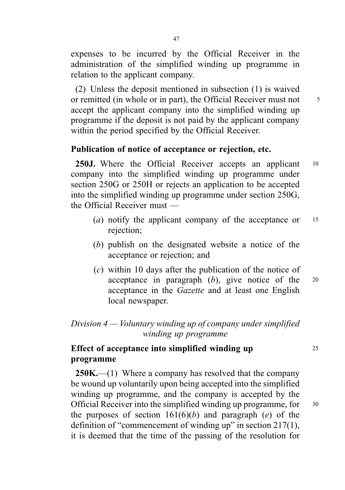expenses to be incurred by the Official Receiver in the administration of the simplified winding up programme in relation to the applicant company.

(2) Unless the deposit mentioned in subsection (1) is waived or remitted (in whole or in part), the Official Receiver must not 5 accept the applicant company into the simplified winding up programme if the deposit is not paid by the applicant company within the period specified by the Official Receiver.

#### Publication of notice of acceptance or rejection, etc.

250J. Where the Official Receiver accepts an applicant 10 company into the simplified winding up programme under section 250G or 250H or rejects an application to be accepted into the simplified winding up programme under section 250G, the Official Receiver must —

- (*a*) notify the applicant company of the acceptance or  $15$ rejection;
- (b) publish on the designated website a notice of the acceptance or rejection; and
- (c) within 10 days after the publication of the notice of acceptance in paragraph  $(b)$ , give notice of the  $20$ acceptance in the Gazette and at least one English local newspaper.

## Division  $4 -$  Voluntary winding up of company under simplified winding up programme

## Effect of acceptance into simplified winding up 25 programme

 $250K$ ,—(1) Where a company has resolved that the company be wound up voluntarily upon being accepted into the simplified winding up programme, and the company is accepted by the Official Receiver into the simplified winding up programme, for <sup>30</sup> the purposes of section  $161(6)(b)$  and paragraph (e) of the definition of "commencement of winding up" in section 217(1), it is deemed that the time of the passing of the resolution for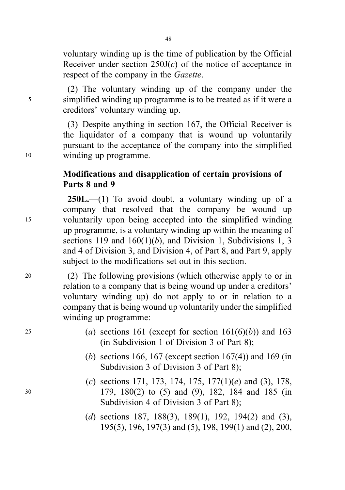voluntary winding up is the time of publication by the Official Receiver under section  $250J(c)$  of the notice of acceptance in respect of the company in the Gazette.

(2) The voluntary winding up of the company under the <sup>5</sup> simplified winding up programme is to be treated as if it were a creditors' voluntary winding up.

(3) Despite anything in section 167, the Official Receiver is the liquidator of a company that is wound up voluntarily pursuant to the acceptance of the company into the simplified <sup>10</sup> winding up programme.

## Modifications and disapplication of certain provisions of Parts 8 and 9

 $250L$ .—(1) To avoid doubt, a voluntary winding up of a company that resolved that the company be wound up <sup>15</sup> voluntarily upon being accepted into the simplified winding up programme, is a voluntary winding up within the meaning of sections 119 and  $160(1)(b)$ , and Division 1, Subdivisions 1, 3 and 4 of Division 3, and Division 4, of Part 8, and Part 9, apply subject to the modifications set out in this section.

<sup>20</sup> (2) The following provisions (which otherwise apply to or in relation to a company that is being wound up under a creditors' voluntary winding up) do not apply to or in relation to a company that is being wound up voluntarily under the simplified winding up programme:

- 25 (a) sections 161 (except for section  $161(6)(b)$ ) and 163 (in Subdivision 1 of Division 3 of Part 8);
	- (b) sections 166, 167 (except section  $167(4)$ ) and 169 (in Subdivision 3 of Division 3 of Part 8);
- (c) sections 171, 173, 174, 175, 177(1)(e) and (3), 178, <sup>30</sup> 179, 180(2) to (5) and (9), 182, 184 and 185 (in Subdivision 4 of Division 3 of Part 8);
	- (d) sections 187, 188(3), 189(1), 192, 194(2) and (3), 195(5), 196, 197(3) and (5), 198, 199(1) and (2), 200,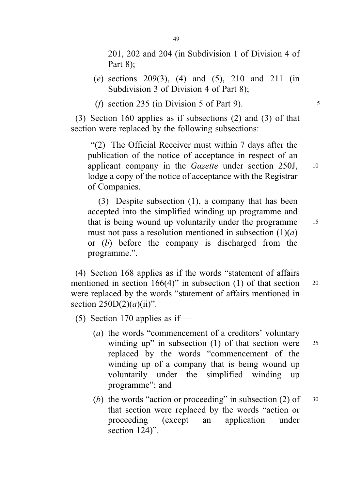201, 202 and 204 (in Subdivision 1 of Division 4 of Part 8);

- (e) sections 209(3), (4) and (5), 210 and 211 (in Subdivision 3 of Division 4 of Part 8);
- (*f*) section 235 (in Division 5 of Part 9).  $\frac{5}{5}$

(3) Section 160 applies as if subsections (2) and (3) of that section were replaced by the following subsections:

. "(2) The Official Receiver must within 7 days after the publication of the notice of acceptance in respect of an applicant company in the Gazette under section 250J, <sup>10</sup> lodge a copy of the notice of acceptance with the Registrar of Companies.

(3) Despite subsection (1), a company that has been accepted into the simplified winding up programme and that is being wound up voluntarily under the programme <sup>15</sup> must not pass a resolution mentioned in subsection  $(1)(a)$ or (b) before the company is discharged from the programme.".

(4) Section 168 applies as if the words "statement of affairs mentioned in section  $166(4)$ " in subsection (1) of that section 20 were replaced by the words "statement of affairs mentioned in section  $250D(2)(a)(ii)$ ".

(5) Section 170 applies as if  $-$ 

- (a) the words "commencement of a creditors' voluntary winding up" in subsection  $(1)$  of that section were 25 replaced by the words "commencement of the winding up of a company that is being wound up voluntarily under the simplified winding up programme"; and
- (b) the words "action or proceeding" in subsection  $(2)$  of  $30$ that section were replaced by the words "action or proceeding (except an application under section 124)".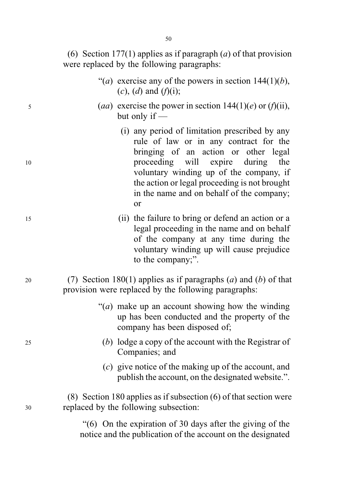(6) Section 177(1) applies as if paragraph (a) of that provision were replaced by the following paragraphs:

- "(a) exercise any of the powers in section  $144(1)(b)$ ,  $(c)$ ,  $(d)$  and  $(f)(i)$ ;
- (aa) exercise the power in section  $144(1)(e)$  or  $(f)(ii)$ , but only if —
	- (i) any period of limitation prescribed by any rule of law or in any contract for the bringing of an action or other legal proceeding will expire during the voluntary winding up of the company, if the action or legal proceeding is not brought in the name and on behalf of the company; or
	- (ii) the failure to bring or defend an action or a legal proceeding in the name and on behalf of the company at any time during the voluntary winding up will cause prejudice to the company;".
- (7) Section 180(1) applies as if paragraphs (*a*) and (*b*) of that provision were replaced by the following paragraphs:
	- " $(a)$  make up an account showing how the winding" up has been conducted and the property of the company has been disposed of;
		- (b) lodge a copy of the account with the Registrar of Companies; and
		- (c) give notice of the making up of the account, and publish the account, on the designated website.".

(8) Section 180 applies as if subsection (6) of that section were replaced by the following subsection:

> . "(6) On the expiration of 30 days after the giving of the notice and the publication of the account on the designated

50

5

10

15

20

25

30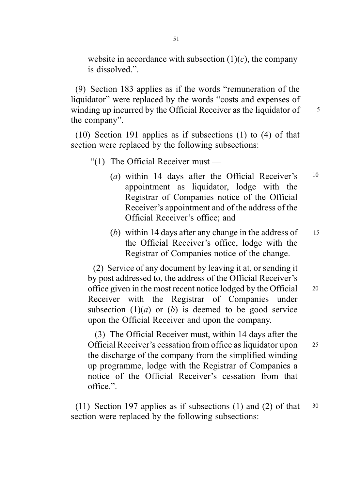website in accordance with subsection  $(1)(c)$ , the company is dissolved.".

(9) Section 183 applies as if the words "remuneration of the liquidator" were replaced by the words "costs and expenses of winding up incurred by the Official Receiver as the liquidator of  $\frac{5}{5}$ the company".

(10) Section 191 applies as if subsections (1) to (4) of that section were replaced by the following subsections:

"(1) The Official Receiver must  $-$ 

- (a) within 14 days after the Official Receiver's  $10$ appointment as liquidator, lodge with the Registrar of Companies notice of the Official Receiver's appointment and of the address of the Official Receiver's office; and
- (b) within 14 days after any change in the address of the Official Receiver's office, lodge with the Registrar of Companies notice of the change. 15

(2) Service of any document by leaving it at, or sending it by post addressed to, the address of the Official Receiver's office given in the most recent notice lodged by the Official <sup>20</sup> Receiver with the Registrar of Companies under subsection  $(1)(a)$  or  $(b)$  is deemed to be good service upon the Official Receiver and upon the company.

(3) The Official Receiver must, within 14 days after the Official Receiver's cessation from office as liquidator upon <sup>25</sup> the discharge of the company from the simplified winding up programme, lodge with the Registrar of Companies a notice of the Official Receiver's cessation from that office.".

(11) Section 197 applies as if subsections (1) and (2) of that <sup>30</sup> section were replaced by the following subsections: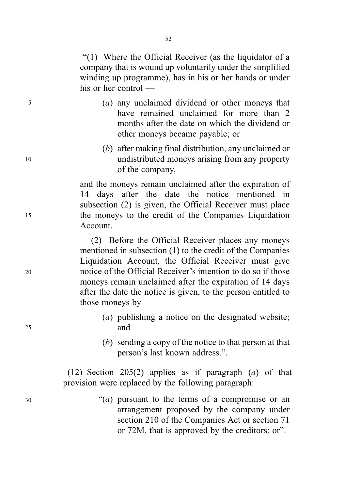. "(1) Where the Official Receiver (as the liquidator of a company that is wound up voluntarily under the simplified winding up programme), has in his or her hands or under his or her control —

- (a) any unclaimed dividend or other moneys that have remained unclaimed for more than 2 months after the date on which the dividend or other moneys became payable; or
- (b) after making final distribution, any unclaimed or undistributed moneys arising from any property of the company,

and the moneys remain unclaimed after the expiration of 14 days after the date the notice mentioned in subsection (2) is given, the Official Receiver must place the moneys to the credit of the Companies Liquidation Account.

(2) Before the Official Receiver places any moneys mentioned in subsection (1) to the credit of the Companies Liquidation Account, the Official Receiver must give notice of the Official Receiver's intention to do so if those moneys remain unclaimed after the expiration of 14 days after the date the notice is given, to the person entitled to those moneys by —

- (a) publishing a notice on the designated website; and
- (b) sending a copy of the notice to that person at that person's last known address.".

(12) Section 205(2) applies as if paragraph  $(a)$  of that provision were replaced by the following paragraph:

> "(*a*) pursuant to the terms of a compromise or an arrangement proposed by the company under section 210 of the Companies Act or section 71 or 72M, that is approved by the creditors; or".

25

30

20

5

10

15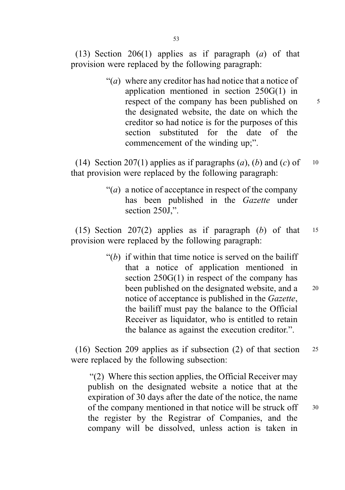53

(13) Section 206(1) applies as if paragraph  $(a)$  of that provision were replaced by the following paragraph:

> " $(a)$  where any creditor has had notice that a notice of application mentioned in section 250G(1) in respect of the company has been published on  $5^{\circ}$ the designated website, the date on which the creditor so had notice is for the purposes of this section substituted for the date of the commencement of the winding up;".

(14) Section 207(1) applies as if paragraphs  $(a)$ ,  $(b)$  and  $(c)$  of 10 that provision were replaced by the following paragraph:

> "(*a*) a notice of acceptance in respect of the company has been published in the Gazette under section 250J.".

(15) Section 207(2) applies as if paragraph (b) of that  $15$ provision were replaced by the following paragraph:

> " $(b)$  if within that time notice is served on the bailiff that a notice of application mentioned in section 250G(1) in respect of the company has been published on the designated website, and a 20 notice of acceptance is published in the Gazette, the bailiff must pay the balance to the Official Receiver as liquidator, who is entitled to retain the balance as against the execution creditor.".

(16) Section 209 applies as if subsection (2) of that section <sup>25</sup> were replaced by the following subsection:

. "(2) Where this section applies, the Official Receiver may publish on the designated website a notice that at the expiration of 30 days after the date of the notice, the name of the company mentioned in that notice will be struck off 30 the register by the Registrar of Companies, and the company will be dissolved, unless action is taken in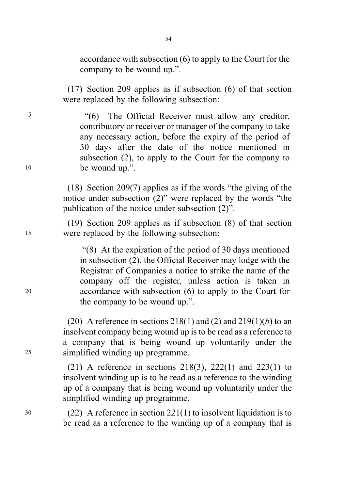54

accordance with subsection (6) to apply to the Court for the company to be wound up.".

(17) Section 209 applies as if subsection (6) of that section were replaced by the following subsection:

<sup>5</sup> . "(6) The Official Receiver must allow any creditor, contributory or receiver or manager of the company to take any necessary action, before the expiry of the period of 30 days after the date of the notice mentioned in subsection (2), to apply to the Court for the company to <sup>10</sup> be wound up.".

> (18) Section 209(7) applies as if the words "the giving of the notice under subsection (2)" were replaced by the words "the publication of the notice under subsection (2)".

(19) Section 209 applies as if subsection (8) of that section <sup>15</sup> were replaced by the following subsection:

. "(8) At the expiration of the period of 30 days mentioned in subsection (2), the Official Receiver may lodge with the Registrar of Companies a notice to strike the name of the company off the register, unless action is taken in <sup>20</sup> accordance with subsection (6) to apply to the Court for the company to be wound up.".

(20) A reference in sections  $218(1)$  and  $(2)$  and  $219(1)(b)$  to an insolvent company being wound up is to be read as a reference to a company that is being wound up voluntarily under the <sup>25</sup> simplified winding up programme.

> (21) A reference in sections  $218(3)$ ,  $222(1)$  and  $223(1)$  to insolvent winding up is to be read as a reference to the winding up of a company that is being wound up voluntarily under the simplified winding up programme.

<sup>30</sup> (22) A reference in section 221(1) to insolvent liquidation is to be read as a reference to the winding up of a company that is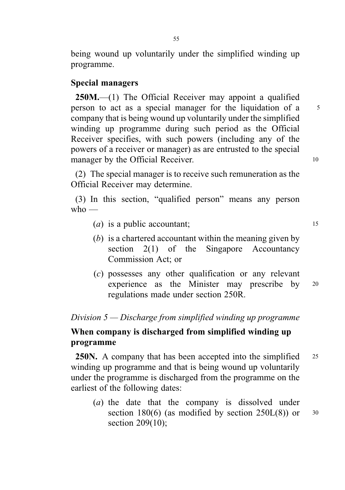being wound up voluntarily under the simplified winding up programme.

#### Special managers

250M.—(1) The Official Receiver may appoint a qualified person to act as a special manager for the liquidation of a 5 company that is being wound up voluntarily under the simplified winding up programme during such period as the Official Receiver specifies, with such powers (including any of the powers of a receiver or manager) as are entrusted to the special manager by the Official Receiver. 10

(2) The special manager is to receive such remuneration as the Official Receiver may determine.

(3) In this section, "qualified person" means any person  $who$  —

- (*a*) is a public accountant;  $\frac{15}{2}$
- (b) is a chartered accountant within the meaning given by section  $2(1)$  of the Singapore Accountancy Commission Act; or
- (c) possesses any other qualification or any relevant experience as the Minister may prescribe by <sup>20</sup> regulations made under section 250R.

## Division 5 — Discharge from simplified winding up programme

## When company is discharged from simplified winding up programme

**250N.** A company that has been accepted into the simplified 25 winding up programme and that is being wound up voluntarily under the programme is discharged from the programme on the earliest of the following dates:

(a) the date that the company is dissolved under section 180 $(6)$  (as modified by section 250 $L(8)$ ) or 30 section 209(10);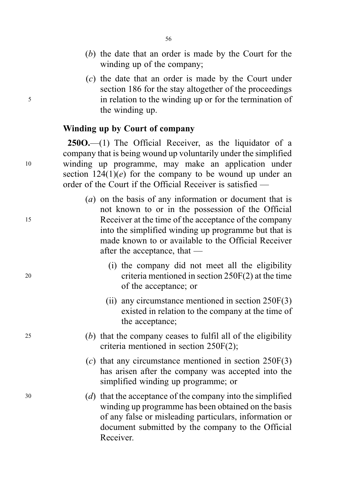- (b) the date that an order is made by the Court for the winding up of the company;
- (c) the date that an order is made by the Court under section 186 for the stay altogether of the proceedings <sup>5</sup> in relation to the winding up or for the termination of the winding up.

#### Winding up by Court of company

250O.—(1) The Official Receiver, as the liquidator of a company that is being wound up voluntarily under the simplified <sup>10</sup> winding up programme, may make an application under section  $124(1)(e)$  for the company to be wound up under an order of the Court if the Official Receiver is satisfied —

- (a) on the basis of any information or document that is not known to or in the possession of the Official <sup>15</sup> Receiver at the time of the acceptance of the company into the simplified winding up programme but that is made known to or available to the Official Receiver after the acceptance, that —
- (i) the company did not meet all the eligibility <sup>20</sup> criteria mentioned in section 250F(2) at the time of the acceptance; or
	- (ii) any circumstance mentioned in section 250F(3) existed in relation to the company at the time of the acceptance;
- <sup>25</sup> (b) that the company ceases to fulfil all of the eligibility criteria mentioned in section 250F(2);
	- $(c)$  that any circumstance mentioned in section 250F(3) has arisen after the company was accepted into the simplified winding up programme; or
- <sup>30</sup> (d) that the acceptance of the company into the simplified winding up programme has been obtained on the basis of any false or misleading particulars, information or document submitted by the company to the Official Receiver.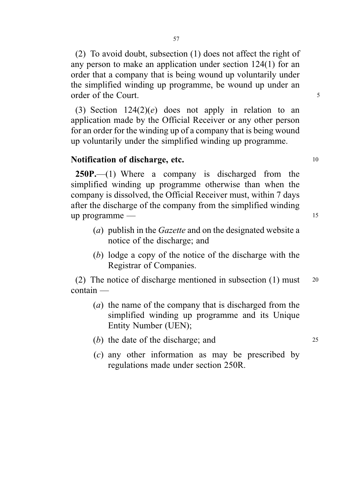(2) To avoid doubt, subsection (1) does not affect the right of any person to make an application under section 124(1) for an order that a company that is being wound up voluntarily under the simplified winding up programme, be wound up under an order of the Court. 5

(3) Section  $124(2)(e)$  does not apply in relation to an application made by the Official Receiver or any other person for an order for the winding up of a company that is being wound up voluntarily under the simplified winding up programme.

#### Notification of discharge, etc. 10

250P.—(1) Where a company is discharged from the simplified winding up programme otherwise than when the company is dissolved, the Official Receiver must, within 7 days after the discharge of the company from the simplified winding up programme — 15

- (a) publish in the Gazette and on the designated website a notice of the discharge; and
- (b) lodge a copy of the notice of the discharge with the Registrar of Companies.

(2) The notice of discharge mentioned in subsection (1) must <sup>20</sup> contain —

- (a) the name of the company that is discharged from the simplified winding up programme and its Unique Entity Number (UEN);
- (b) the date of the discharge; and 25
- (c) any other information as may be prescribed by regulations made under section 250R.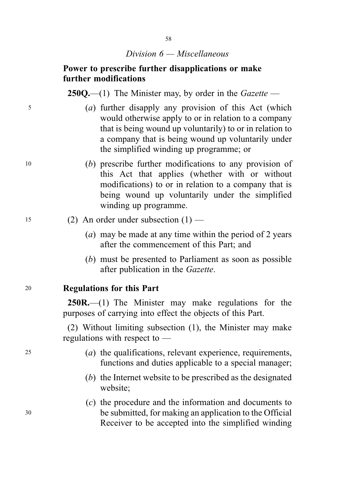## Power to prescribe further disapplications or make further modifications

**250Q.**—(1) The Minister may, by order in the *Gazette* —

- <sup>5</sup> (a) further disapply any provision of this Act (which would otherwise apply to or in relation to a company that is being wound up voluntarily) to or in relation to a company that is being wound up voluntarily under the simplified winding up programme; or
- <sup>10</sup> (b) prescribe further modifications to any provision of this Act that applies (whether with or without modifications) to or in relation to a company that is being wound up voluntarily under the simplified winding up programme.
- $15$  (2) An order under subsection  $(1)$ 
	- (a) may be made at any time within the period of 2 years after the commencement of this Part; and
	- (b) must be presented to Parliament as soon as possible after publication in the Gazette.

<sup>20</sup> Regulations for this Part

250R.—(1) The Minister may make regulations for the purposes of carrying into effect the objects of this Part.

(2) Without limiting subsection (1), the Minister may make regulations with respect to —

- <sup>25</sup> (a) the qualifications, relevant experience, requirements, functions and duties applicable to a special manager;
	- (b) the Internet website to be prescribed as the designated website;
- (c) the procedure and the information and documents to <sup>30</sup> be submitted, for making an application to the Official Receiver to be accepted into the simplified winding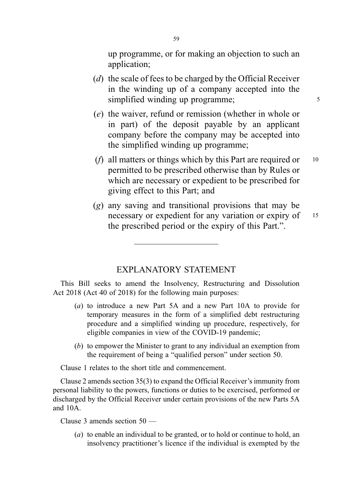up programme, or for making an objection to such an application;

- (d) the scale of fees to be charged by the Official Receiver in the winding up of a company accepted into the simplified winding up programme;  $\frac{5}{5}$
- (e) the waiver, refund or remission (whether in whole or in part) of the deposit payable by an applicant company before the company may be accepted into the simplified winding up programme;
- (*f*) all matters or things which by this Part are required or  $10$ permitted to be prescribed otherwise than by Rules or which are necessary or expedient to be prescribed for giving effect to this Part; and
- (g) any saving and transitional provisions that may be necessary or expedient for any variation or expiry of 15 the prescribed period or the expiry of this Part.".

#### EXPLANATORY STATEMENT

This Bill seeks to amend the Insolvency, Restructuring and Dissolution Act 2018 (Act 40 of 2018) for the following main purposes:

- (a) to introduce a new Part 5A and a new Part 10A to provide for temporary measures in the form of a simplified debt restructuring procedure and a simplified winding up procedure, respectively, for eligible companies in view of the COVID-19 pandemic;
- (b) to empower the Minister to grant to any individual an exemption from the requirement of being a "qualified person" under section 50.

Clause 1 relates to the short title and commencement.

Clause 2 amends section 35(3) to expand the Official Receiver's immunity from personal liability to the powers, functions or duties to be exercised, performed or discharged by the Official Receiver under certain provisions of the new Parts 5A and 10A.

Clause 3 amends section 50 —

(a) to enable an individual to be granted, or to hold or continue to hold, an insolvency practitioner's licence if the individual is exempted by the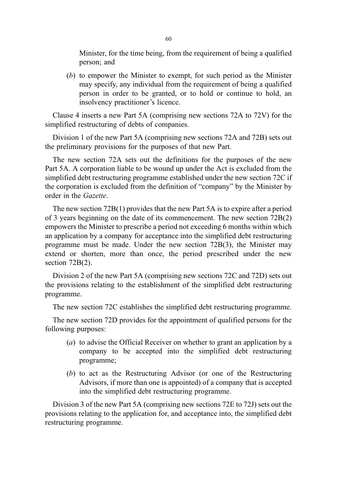Minister, for the time being, from the requirement of being a qualified person; and

(b) to empower the Minister to exempt, for such period as the Minister may specify, any individual from the requirement of being a qualified person in order to be granted, or to hold or continue to hold, an insolvency practitioner's licence.

Clause 4 inserts a new Part 5A (comprising new sections 72A to 72V) for the simplified restructuring of debts of companies.

Division 1 of the new Part 5A (comprising new sections 72A and 72B) sets out the preliminary provisions for the purposes of that new Part.

The new section 72A sets out the definitions for the purposes of the new Part 5A. A corporation liable to be wound up under the Act is excluded from the simplified debt restructuring programme established under the new section 72C if the corporation is excluded from the definition of "company" by the Minister by order in the Gazette.

The new section 72B(1) provides that the new Part 5A is to expire after a period of 3 years beginning on the date of its commencement. The new section 72B(2) empowers the Minister to prescribe a period not exceeding 6 months within which an application by a company for acceptance into the simplified debt restructuring programme must be made. Under the new section 72B(3), the Minister may extend or shorten, more than once, the period prescribed under the new section 72B(2).

Division 2 of the new Part 5A (comprising new sections 72C and 72D) sets out the provisions relating to the establishment of the simplified debt restructuring programme.

The new section 72C establishes the simplified debt restructuring programme.

The new section 72D provides for the appointment of qualified persons for the following purposes:

- (a) to advise the Official Receiver on whether to grant an application by a company to be accepted into the simplified debt restructuring programme;
- (b) to act as the Restructuring Advisor (or one of the Restructuring Advisors, if more than one is appointed) of a company that is accepted into the simplified debt restructuring programme.

Division 3 of the new Part 5A (comprising new sections 72E to 72J) sets out the provisions relating to the application for, and acceptance into, the simplified debt restructuring programme.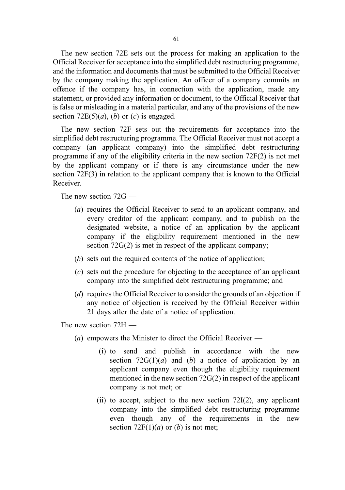The new section 72E sets out the process for making an application to the Official Receiver for acceptance into the simplified debt restructuring programme, and the information and documents that must be submitted to the Official Receiver by the company making the application. An officer of a company commits an offence if the company has, in connection with the application, made any statement, or provided any information or document, to the Official Receiver that is false or misleading in a material particular, and any of the provisions of the new section  $72E(5)(a)$ , (b) or (c) is engaged.

The new section 72F sets out the requirements for acceptance into the simplified debt restructuring programme. The Official Receiver must not accept a company (an applicant company) into the simplified debt restructuring programme if any of the eligibility criteria in the new section 72F(2) is not met by the applicant company or if there is any circumstance under the new section 72F(3) in relation to the applicant company that is known to the Official Receiver.

The new section 72G —

- (a) requires the Official Receiver to send to an applicant company, and every creditor of the applicant company, and to publish on the designated website, a notice of an application by the applicant company if the eligibility requirement mentioned in the new section 72G(2) is met in respect of the applicant company;
- (b) sets out the required contents of the notice of application:
- (c) sets out the procedure for objecting to the acceptance of an applicant company into the simplified debt restructuring programme; and
- (d) requires the Official Receiver to consider the grounds of an objection if any notice of objection is received by the Official Receiver within 21 days after the date of a notice of application.

The new section 72H —

- (a) empowers the Minister to direct the Official Receiver  $-$ 
	- (i) to send and publish in accordance with the new section  $72G(1)(a)$  and (b) a notice of application by an applicant company even though the eligibility requirement mentioned in the new section 72G(2) in respect of the applicant company is not met; or
	- (ii) to accept, subject to the new section 72I(2), any applicant company into the simplified debt restructuring programme even though any of the requirements in the new section  $72F(1)(a)$  or (b) is not met;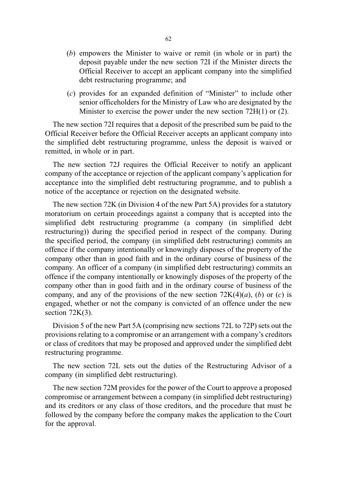- (b) empowers the Minister to waive or remit (in whole or in part) the deposit payable under the new section 72I if the Minister directs the Official Receiver to accept an applicant company into the simplified debt restructuring programme; and
- (c) provides for an expanded definition of "Minister" to include other senior officeholders for the Ministry of Law who are designated by the Minister to exercise the power under the new section 72H(1) or (2).

The new section 72I requires that a deposit of the prescribed sum be paid to the Official Receiver before the Official Receiver accepts an applicant company into the simplified debt restructuring programme, unless the deposit is waived or remitted, in whole or in part.

The new section 72J requires the Official Receiver to notify an applicant company of the acceptance or rejection of the applicant company's application for acceptance into the simplified debt restructuring programme, and to publish a notice of the acceptance or rejection on the designated website.

The new section 72K (in Division 4 of the new Part 5A) provides for a statutory moratorium on certain proceedings against a company that is accepted into the simplified debt restructuring programme (a company (in simplified debt restructuring)) during the specified period in respect of the company. During the specified period, the company (in simplified debt restructuring) commits an offence if the company intentionally or knowingly disposes of the property of the company other than in good faith and in the ordinary course of business of the company. An officer of a company (in simplified debt restructuring) commits an offence if the company intentionally or knowingly disposes of the property of the company other than in good faith and in the ordinary course of business of the company, and any of the provisions of the new section  $72K(4)(a)$ , (b) or (c) is engaged, whether or not the company is convicted of an offence under the new section  $72K(3)$ .

Division 5 of the new Part 5A (comprising new sections 72L to 72P) sets out the provisions relating to a compromise or an arrangement with a company's creditors or class of creditors that may be proposed and approved under the simplified debt restructuring programme.

The new section 72L sets out the duties of the Restructuring Advisor of a company (in simplified debt restructuring).

The new section 72M provides for the power of the Court to approve a proposed compromise or arrangement between a company (in simplified debt restructuring) and its creditors or any class of those creditors, and the procedure that must be followed by the company before the company makes the application to the Court for the approval.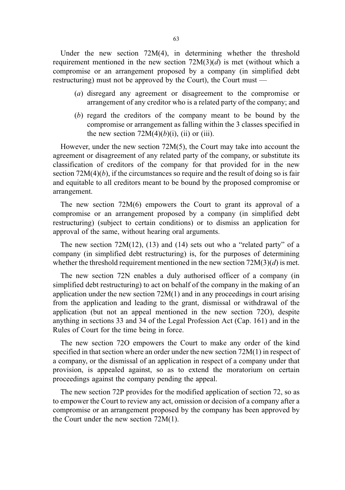Under the new section 72M(4), in determining whether the threshold requirement mentioned in the new section  $72M(3)(d)$  is met (without which a compromise or an arrangement proposed by a company (in simplified debt restructuring) must not be approved by the Court), the Court must —

- (a) disregard any agreement or disagreement to the compromise or arrangement of any creditor who is a related party of the company; and
- (b) regard the creditors of the company meant to be bound by the compromise or arrangement as falling within the 3 classes specified in the new section  $72M(4)(b)(i)$ , (ii) or (iii).

However, under the new section 72M(5), the Court may take into account the agreement or disagreement of any related party of the company, or substitute its classification of creditors of the company for that provided for in the new section  $72M(4)(b)$ , if the circumstances so require and the result of doing so is fair and equitable to all creditors meant to be bound by the proposed compromise or arrangement.

The new section 72M(6) empowers the Court to grant its approval of a compromise or an arrangement proposed by a company (in simplified debt restructuring) (subject to certain conditions) or to dismiss an application for approval of the same, without hearing oral arguments.

The new section  $72M(12)$ ,  $(13)$  and  $(14)$  sets out who a "related party" of a company (in simplified debt restructuring) is, for the purposes of determining whether the threshold requirement mentioned in the new section  $72M(3)(d)$  is met.

The new section 72N enables a duly authorised officer of a company (in simplified debt restructuring) to act on behalf of the company in the making of an application under the new section 72M(1) and in any proceedings in court arising from the application and leading to the grant, dismissal or withdrawal of the application (but not an appeal mentioned in the new section 72O), despite anything in sections 33 and 34 of the Legal Profession Act (Cap. 161) and in the Rules of Court for the time being in force.

The new section 72O empowers the Court to make any order of the kind specified in that section where an order under the new section 72M(1) in respect of a company, or the dismissal of an application in respect of a company under that provision, is appealed against, so as to extend the moratorium on certain proceedings against the company pending the appeal.

The new section 72P provides for the modified application of section 72, so as to empower the Court to review any act, omission or decision of a company after a compromise or an arrangement proposed by the company has been approved by the Court under the new section 72M(1).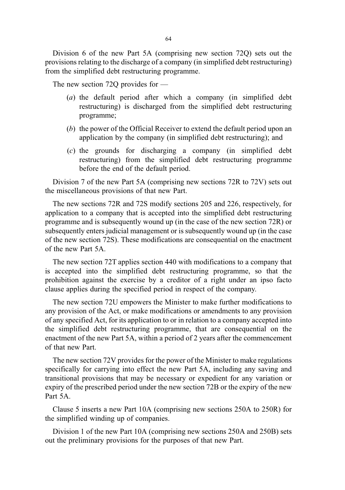Division 6 of the new Part 5A (comprising new section 72Q) sets out the provisions relating to the discharge of a company (in simplified debt restructuring) from the simplified debt restructuring programme.

The new section 72Q provides for —

- (a) the default period after which a company (in simplified debt restructuring) is discharged from the simplified debt restructuring programme;
- (b) the power of the Official Receiver to extend the default period upon an application by the company (in simplified debt restructuring); and
- (c) the grounds for discharging a company (in simplified debt restructuring) from the simplified debt restructuring programme before the end of the default period.

Division 7 of the new Part 5A (comprising new sections 72R to 72V) sets out the miscellaneous provisions of that new Part.

The new sections 72R and 72S modify sections 205 and 226, respectively, for application to a company that is accepted into the simplified debt restructuring programme and is subsequently wound up (in the case of the new section 72R) or subsequently enters judicial management or is subsequently wound up (in the case of the new section 72S). These modifications are consequential on the enactment of the new Part 5A.

The new section 72T applies section 440 with modifications to a company that is accepted into the simplified debt restructuring programme, so that the prohibition against the exercise by a creditor of a right under an ipso facto clause applies during the specified period in respect of the company.

The new section 72U empowers the Minister to make further modifications to any provision of the Act, or make modifications or amendments to any provision of any specified Act, for its application to or in relation to a company accepted into the simplified debt restructuring programme, that are consequential on the enactment of the new Part 5A, within a period of 2 years after the commencement of that new Part.

The new section 72V provides for the power of the Minister to make regulations specifically for carrying into effect the new Part 5A, including any saving and transitional provisions that may be necessary or expedient for any variation or expiry of the prescribed period under the new section 72B or the expiry of the new Part 5A.

Clause 5 inserts a new Part 10A (comprising new sections 250A to 250R) for the simplified winding up of companies.

Division 1 of the new Part 10A (comprising new sections 250A and 250B) sets out the preliminary provisions for the purposes of that new Part.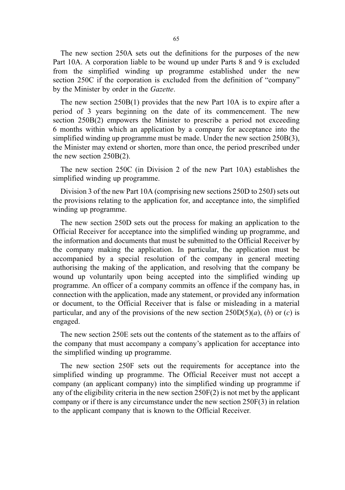The new section 250A sets out the definitions for the purposes of the new Part 10A. A corporation liable to be wound up under Parts 8 and 9 is excluded from the simplified winding up programme established under the new section 250C if the corporation is excluded from the definition of "company" by the Minister by order in the Gazette.

The new section 250B(1) provides that the new Part 10A is to expire after a period of 3 years beginning on the date of its commencement. The new section 250B(2) empowers the Minister to prescribe a period not exceeding 6 months within which an application by a company for acceptance into the simplified winding up programme must be made. Under the new section 250B(3), the Minister may extend or shorten, more than once, the period prescribed under the new section 250B(2).

The new section 250C (in Division 2 of the new Part 10A) establishes the simplified winding up programme.

Division 3 of the new Part 10A (comprising new sections 250D to 250J) sets out the provisions relating to the application for, and acceptance into, the simplified winding up programme.

The new section 250D sets out the process for making an application to the Official Receiver for acceptance into the simplified winding up programme, and the information and documents that must be submitted to the Official Receiver by the company making the application. In particular, the application must be accompanied by a special resolution of the company in general meeting authorising the making of the application, and resolving that the company be wound up voluntarily upon being accepted into the simplified winding up programme. An officer of a company commits an offence if the company has, in connection with the application, made any statement, or provided any information or document, to the Official Receiver that is false or misleading in a material particular, and any of the provisions of the new section  $250D(5)(a)$ , (b) or (c) is engaged.

The new section 250E sets out the contents of the statement as to the affairs of the company that must accompany a company's application for acceptance into the simplified winding up programme.

The new section 250F sets out the requirements for acceptance into the simplified winding up programme. The Official Receiver must not accept a company (an applicant company) into the simplified winding up programme if any of the eligibility criteria in the new section 250F(2) is not met by the applicant company or if there is any circumstance under the new section 250F(3) in relation to the applicant company that is known to the Official Receiver.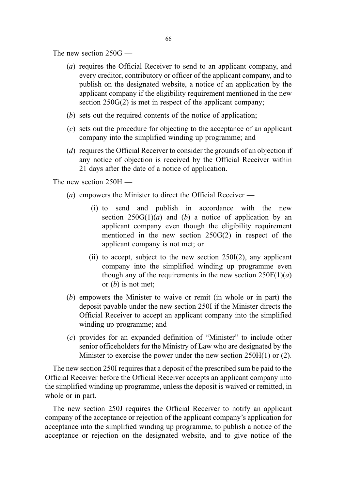The new section 250G —

- (a) requires the Official Receiver to send to an applicant company, and every creditor, contributory or officer of the applicant company, and to publish on the designated website, a notice of an application by the applicant company if the eligibility requirement mentioned in the new section  $250G(2)$  is met in respect of the applicant company;
- (b) sets out the required contents of the notice of application;
- (c) sets out the procedure for objecting to the acceptance of an applicant company into the simplified winding up programme; and
- (d) requires the Official Receiver to consider the grounds of an objection if any notice of objection is received by the Official Receiver within 21 days after the date of a notice of application.

The new section 250H —

- (*a*) empowers the Minister to direct the Official Receiver
	- (i) to send and publish in accordance with the new section  $250G(1)(a)$  and (b) a notice of application by an applicant company even though the eligibility requirement mentioned in the new section 250G(2) in respect of the applicant company is not met; or
	- (ii) to accept, subject to the new section 250I(2), any applicant company into the simplified winding up programme even though any of the requirements in the new section  $250F(1)(a)$ or  $(b)$  is not met;
- (b) empowers the Minister to waive or remit (in whole or in part) the deposit payable under the new section 250I if the Minister directs the Official Receiver to accept an applicant company into the simplified winding up programme; and
- (c) provides for an expanded definition of "Minister" to include other senior officeholders for the Ministry of Law who are designated by the Minister to exercise the power under the new section 250H(1) or (2).

The new section 250I requires that a deposit of the prescribed sum be paid to the Official Receiver before the Official Receiver accepts an applicant company into the simplified winding up programme, unless the deposit is waived or remitted, in whole or in part.

The new section 250J requires the Official Receiver to notify an applicant company of the acceptance or rejection of the applicant company's application for acceptance into the simplified winding up programme, to publish a notice of the acceptance or rejection on the designated website, and to give notice of the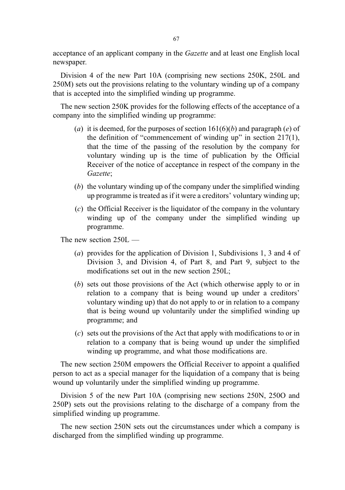acceptance of an applicant company in the Gazette and at least one English local newspaper.

Division 4 of the new Part 10A (comprising new sections 250K, 250L and 250M) sets out the provisions relating to the voluntary winding up of a company that is accepted into the simplified winding up programme.

The new section 250K provides for the following effects of the acceptance of a company into the simplified winding up programme:

- (a) it is deemed, for the purposes of section  $161(6)(b)$  and paragraph (e) of the definition of "commencement of winding up" in section 217(1), that the time of the passing of the resolution by the company for voluntary winding up is the time of publication by the Official Receiver of the notice of acceptance in respect of the company in the Gazette;
- (b) the voluntary winding up of the company under the simplified winding up programme is treated as if it were a creditors' voluntary winding up;
- (c) the Official Receiver is the liquidator of the company in the voluntary winding up of the company under the simplified winding up programme.

The new section 250L —

- (a) provides for the application of Division 1, Subdivisions 1, 3 and 4 of Division 3, and Division 4, of Part 8, and Part 9, subject to the modifications set out in the new section 250L;
- (b) sets out those provisions of the Act (which otherwise apply to or in relation to a company that is being wound up under a creditors' voluntary winding up) that do not apply to or in relation to a company that is being wound up voluntarily under the simplified winding up programme; and
- (c) sets out the provisions of the Act that apply with modifications to or in relation to a company that is being wound up under the simplified winding up programme, and what those modifications are.

The new section 250M empowers the Official Receiver to appoint a qualified person to act as a special manager for the liquidation of a company that is being wound up voluntarily under the simplified winding up programme.

Division 5 of the new Part 10A (comprising new sections 250N, 250O and 250P) sets out the provisions relating to the discharge of a company from the simplified winding up programme.

The new section 250N sets out the circumstances under which a company is discharged from the simplified winding up programme.